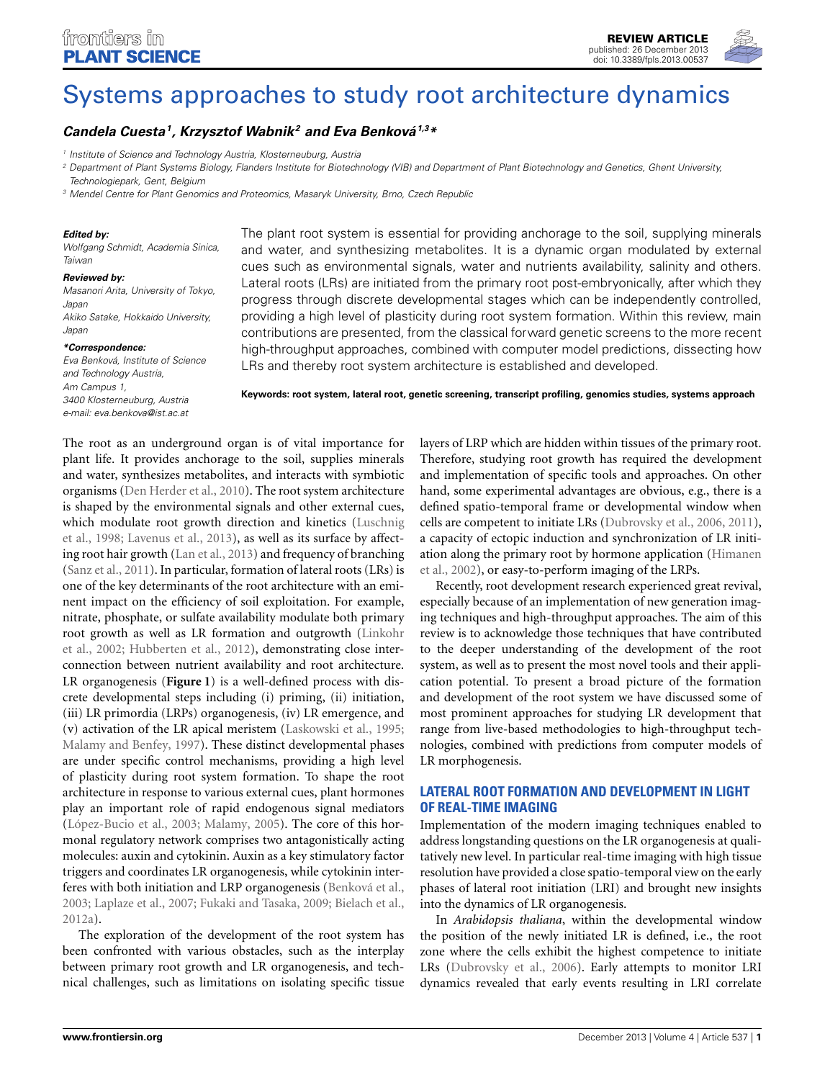**[REVIEW ARTICLE](http://www.frontiersin.org/Plant_Science/editorialboard)** [published: 26 December 2013](http://www.frontiersin.org/Plant_Science/editorialboard) [doi: 10.3389/fpls.2013.00537](http://www.frontiersin.org/Plant_Science/editorialboard)

# [Systems approaches to study root architecture dynamics](http://www.frontiersin.org/journal/10.3389/fpls.2013.00537/abstract)

# *[Candela Cuesta](http://www.frontiersin.org/people/u/113134)1, [Krzysztof Wabnik](http://www.frontiersin.org/people/u/124575)2 and [Eva Benková](http://community.frontiersin.org/people/EvaBenkova/25902)1,3\**

*<sup>1</sup> Institute of Science and Technology Austria, Klosterneuburg, Austria*

*<sup>2</sup> Department of Plant Systems Biology, Flanders Institute for Biotechnology (VIB) and Department of Plant Biotechnology and Genetics, Ghent University,*

*<sup>3</sup> Mendel Centre for Plant Genomics and Proteomics, Masaryk University, Brno, Czech Republic*

#### *Edited by:*

*Wolfgang Schmidt, Academia Sinica, Taiwan*

#### *Reviewed by:*

*Masanori Arita, University of Tokyo, Japan Akiko Satake, Hokkaido University, Japan*

#### *\*Correspondence:*

*Eva Benková, Institute of Science and Technology Austria, Am Campus 1, 3400 Klosterneuburg, Austria e-mail: [eva.benkova@ist.ac.at](mailto:eva.benkova@ist.ac.at)*

The plant root system is essential for providing anchorage to the soil, supplying minerals and water, and synthesizing metabolites. It is a dynamic organ modulated by external cues such as environmental signals, water and nutrients availability, salinity and others. Lateral roots (LRs) are initiated from the primary root post-embryonically, after which they progress through discrete developmental stages which can be independently controlled, providing a high level of plasticity during root system formation. Within this review, main contributions are presented, from the classical forward genetic screens to the more recent high-throughput approaches, combined with computer model predictions, dissecting how LRs and thereby root system architecture is established and developed.

**Keywords: root system, lateral root, genetic screening, transcript profiling, genomics studies, systems approach**

The root as an underground organ is of vital importance for plant life. It provides anchorage to the soil, supplies minerals and water, synthesizes metabolites, and interacts with symbiotic organisms [\(Den Herder et al.](#page-7-0), [2010\)](#page-7-0). The root system architecture is shaped by the environmental signals and other external cues, whic[h](#page-8-0) [modulate](#page-8-0) [root](#page-8-0) [growth](#page-8-0) [direction](#page-8-0) [and](#page-8-0) [kinetics](#page-8-0) [\(](#page-8-0)Luschnig et al., [1998](#page-8-0); [Lavenus et al.](#page-8-1), [2013\)](#page-8-1), as well as its surface by affecting root hair growth [\(Lan et al.](#page-8-2), [2013\)](#page-8-2) and frequency of branching [\(Sanz et al., 2011](#page-9-0)). In particular, formation of lateral roots (LRs) is one of the key determinants of the root architecture with an eminent impact on the efficiency of soil exploitation. For example, nitrate, phosphate, or sulfate availability modulate both primary root [growth as well as LR formation and outgrowth \(](#page-8-3)Linkohr et al., [2002;](#page-8-3) [Hubberten et al.](#page-8-4), [2012\)](#page-8-4), demonstrating close interconnection between nutrient availability and root architecture. LR organogenesis (**[Figure 1](#page-1-0)**) is a well-defined process with discrete developmental steps including (i) priming, (ii) initiation, (iii) LR primordia (LRPs) organogenesis, (iv) LR emergence, and (v) activation of the LR apical meristem [\(Laskowski et al.](#page-8-5), [1995;](#page-8-5) [Malamy and Benfey](#page-8-6), [1997](#page-8-6)). These distinct developmental phases are under specific control mechanisms, providing a high level of plasticity during root system formation. To shape the root architecture in response to various external cues, plant hormones play an important role of rapid endogenous signal mediators [\(López-Bucio et al., 2003](#page-8-7); [Malamy](#page-8-8), [2005\)](#page-8-8). The core of this hormonal regulatory network comprises two antagonistically acting molecules: auxin and cytokinin. Auxin as a key stimulatory factor triggers and coordinates LR organogenesis, while cytokinin interferes with both initiation and LRP organogenesis [\(Benková et al.,](#page-7-1) [2003](#page-7-1); [Laplaze et al., 2007;](#page-8-9) [Fukaki and Tasaka](#page-8-10), [2009](#page-8-10); [Bielach et al.,](#page-7-2) [2012a\)](#page-7-2).

The exploration of the development of the root system has been confronted with various obstacles, such as the interplay between primary root growth and LR organogenesis, and technical challenges, such as limitations on isolating specific tissue

layers of LRP which are hidden within tissues of the primary root. Therefore, studying root growth has required the development and implementation of specific tools and approaches. On other hand, some experimental advantages are obvious, e.g., there is a defined spatio-temporal frame or developmental window when cells are competent to initiate LRs [\(Dubrovsky et al., 2006](#page-7-3), [2011](#page-7-4)), a capacity of ectopic induction and synchronization of LR initiatio[n](#page-8-11) [along](#page-8-11) [the](#page-8-11) [primary](#page-8-11) [root](#page-8-11) [by](#page-8-11) [hormone](#page-8-11) [application](#page-8-11) [\(](#page-8-11)Himanen et al., [2002\)](#page-8-11), or easy-to-perform imaging of the LRPs.

Recently, root development research experienced great revival, especially because of an implementation of new generation imaging techniques and high-throughput approaches. The aim of this review is to acknowledge those techniques that have contributed to the deeper understanding of the development of the root system, as well as to present the most novel tools and their application potential. To present a broad picture of the formation and development of the root system we have discussed some of most prominent approaches for studying LR development that range from live-based methodologies to high-throughput technologies, combined with predictions from computer models of LR morphogenesis.

## **LATERAL ROOT FORMATION AND DEVELOPMENT IN LIGHT OF REAL-TIME IMAGING**

Implementation of the modern imaging techniques enabled to address longstanding questions on the LR organogenesis at qualitatively new level. In particular real-time imaging with high tissue resolution have provided a close spatio-temporal view on the early phases of lateral root initiation (LRI) and brought new insights into the dynamics of LR organogenesis.

In *Arabidopsis thaliana*, within the developmental window the position of the newly initiated LR is defined, i.e., the root zone where the cells exhibit the highest competence to initiate LRs [\(Dubrovsky et al.](#page-7-3), [2006](#page-7-3)). Early attempts to monitor LRI dynamics revealed that early events resulting in LRI correlate

*Technologiepark, Gent, Belgium*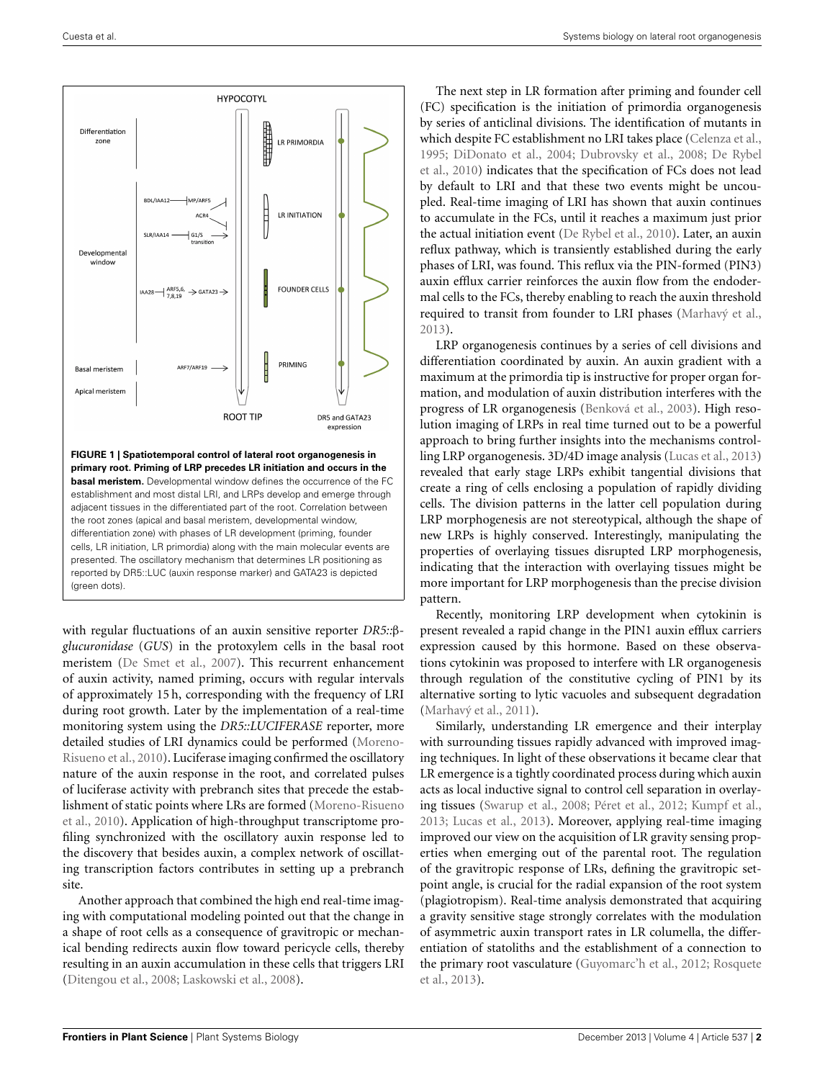

<span id="page-1-0"></span>with regular fluctuations of an auxin sensitive reporter *DR5::*β*glucuronidase* (*GUS*) in the protoxylem cells in the basal root meristem [\(De Smet et al.](#page-7-5), [2007\)](#page-7-5). This recurrent enhancement of auxin activity, named priming, occurs with regular intervals of approximately 15 h, corresponding with the frequency of LRI during root growth. Later by the implementation of a real-time monitoring system using the *DR5::LUCIFERASE* reporter, more detailed stud[ies of LRI dynamics could be performed \(](#page-9-1)Moreno-Risueno et al., [2010](#page-9-1)). Luciferase imaging confirmed the oscillatory nature of the auxin response in the root, and correlated pulses of luciferase activity with prebranch sites that precede the establish[ment of static points where LRs are formed \(](#page-9-1)Moreno-Risueno et al., [2010](#page-9-1)). Application of high-throughput transcriptome profiling synchronized with the oscillatory auxin response led to the discovery that besides auxin, a complex network of oscillating transcription factors contributes in setting up a prebranch site.

Another approach that combined the high end real-time imaging with computational modeling pointed out that the change in a shape of root cells as a consequence of gravitropic or mechanical bending redirects auxin flow toward pericycle cells, thereby resulting in an auxin accumulation in these cells that triggers LRI [\(Ditengou et al., 2008](#page-7-6); [Laskowski et al., 2008](#page-8-12)).

The next step in LR formation after priming and founder cell (FC) specification is the initiation of primordia organogenesis by series of anticlinal divisions. The identification of mutants in which despite FC establishment no LRI takes place [\(Celenza et al.](#page-7-7), [1995](#page-7-7)[;](#page-7-10) [DiDonato et al.](#page-7-8)[,](#page-7-10) [2004](#page-7-8)[;](#page-7-10) [Dubrovsky et al.](#page-7-9)[,](#page-7-10) [2008](#page-7-9)[;](#page-7-10) De Rybel et al., [2010\)](#page-7-10) indicates that the specification of FCs does not lead by default to LRI and that these two events might be uncoupled. Real-time imaging of LRI has shown that auxin continues to accumulate in the FCs, until it reaches a maximum just prior the actual initiation event [\(De Rybel et al., 2010\)](#page-7-10). Later, an auxin reflux pathway, which is transiently established during the early phases of LRI, was found. This reflux via the PIN-formed (PIN3) auxin efflux carrier reinforces the auxin flow from the endodermal cells to the FCs, thereby enabling to reach the auxin threshold required to transit from founder to LRI phases [\(Marhavý et al.](#page-9-2), [2013](#page-9-2)).

LRP organogenesis continues by a series of cell divisions and differentiation coordinated by auxin. An auxin gradient with a maximum at the primordia tip is instructive for proper organ formation, and modulation of auxin distribution interferes with the progress of LR organogenesis [\(Benková et al.](#page-7-1), [2003\)](#page-7-1). High resolution imaging of LRPs in real time turned out to be a powerful approach to bring further insights into the mechanisms controlling LRP organogenesis. 3D/4D image analysis [\(Lucas et al., 2013](#page-8-13)) revealed that early stage LRPs exhibit tangential divisions that create a ring of cells enclosing a population of rapidly dividing cells. The division patterns in the latter cell population during LRP morphogenesis are not stereotypical, although the shape of new LRPs is highly conserved. Interestingly, manipulating the properties of overlaying tissues disrupted LRP morphogenesis, indicating that the interaction with overlaying tissues might be more important for LRP morphogenesis than the precise division pattern.

Recently, monitoring LRP development when cytokinin is present revealed a rapid change in the PIN1 auxin efflux carriers expression caused by this hormone. Based on these observations cytokinin was proposed to interfere with LR organogenesis through regulation of the constitutive cycling of PIN1 by its alternative sorting to lytic vacuoles and subsequent degradation [\(Marhavý et al.](#page-9-3), [2011](#page-9-3)).

Similarly, understanding LR emergence and their interplay with surrounding tissues rapidly advanced with improved imaging techniques. In light of these observations it became clear that LR emergence is a tightly coordinated process during which auxin acts as local inductive signal to control cell separation in overlaying tissues [\(Swarup et al.](#page-9-4), [2008;](#page-9-4) [Péret et al.](#page-9-5), [2012;](#page-9-5) [Kumpf et al.](#page-8-14), [2013](#page-8-14); [Lucas et al.](#page-8-13), [2013](#page-8-13)). Moreover, applying real-time imaging improved our view on the acquisition of LR gravity sensing properties when emerging out of the parental root. The regulation of the gravitropic response of LRs, defining the gravitropic setpoint angle, is crucial for the radial expansion of the root system (plagiotropism). Real-time analysis demonstrated that acquiring a gravity sensitive stage strongly correlates with the modulation of asymmetric auxin transport rates in LR columella, the differentiation of statoliths and the establishment of a connection to the [primary root vasculature](#page-9-6) [\(Guyomarc'h et al.](#page-8-15)[,](#page-9-6) [2012](#page-8-15)[;](#page-9-6) Rosquete et al., [2013\)](#page-9-6).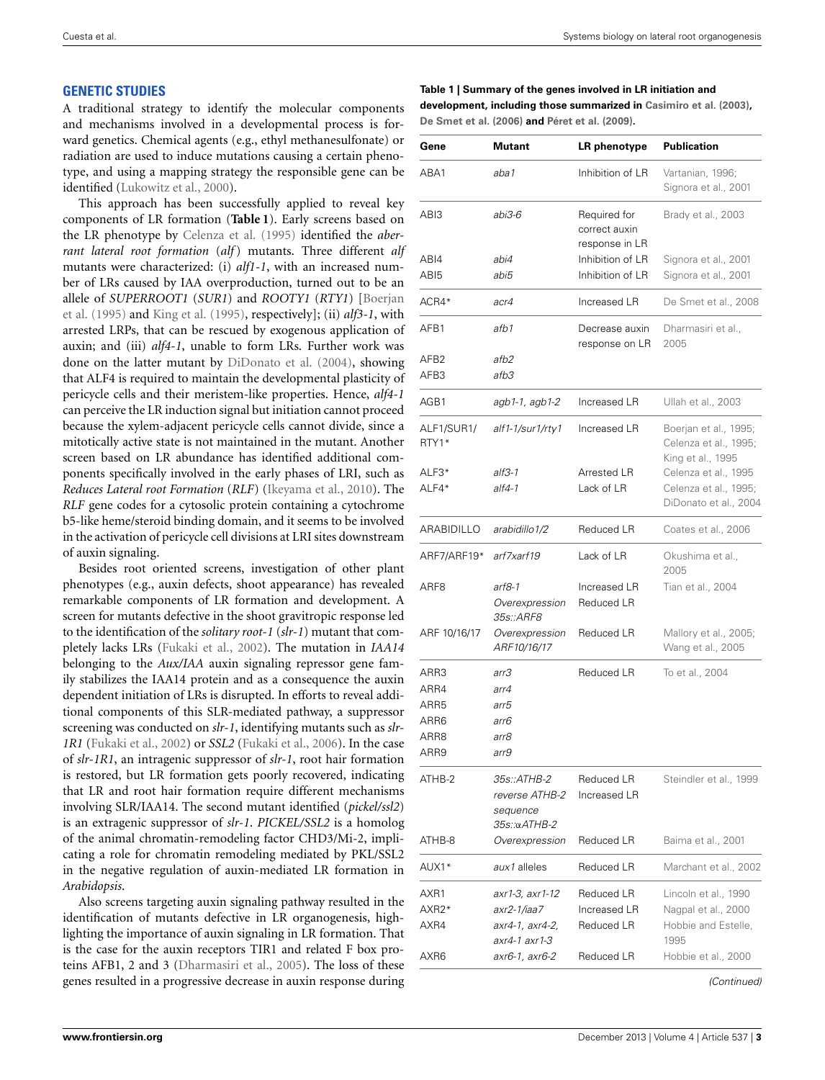## **GENETIC STUDIES**

A traditional strategy to identify the molecular components and mechanisms involved in a developmental process is forward genetics. Chemical agents (e.g., ethyl methanesulfonate) or radiation are used to induce mutations causing a certain phenotype, and using a mapping strategy the responsible gene can be identified [\(Lukowitz et al., 2000](#page-8-16)).

This approach has been successfully applied to reveal key components of LR formation (**[Table 1](#page-2-0)**). Early screens based on the LR phenotype by [Celenza et al.](#page-7-7) [\(1995](#page-7-7)) identified the *aberrant lateral root formation* (*alf*) mutants. Three different *alf* mutants were characterized: (i) *alf1-1*, with an increased number of LRs caused by IAA overproduction, turned out to be an allele of *[SUPERROOT1](#page-7-11)* (*SUR1*) and *ROOTY1* (*RTY1*) [Boerjan et al. [\(1995\)](#page-7-11) and [King et al.](#page-8-17) [\(1995](#page-8-17)), respectively]; (ii) *alf3-1*, with arrested LRPs, that can be rescued by exogenous application of auxin; and (iii) *alf4-1*, unable to form LRs. Further work was done on the latter mutant by [DiDonato et al.](#page-7-8) [\(2004\)](#page-7-8), showing that ALF4 is required to maintain the developmental plasticity of pericycle cells and their meristem-like properties. Hence, *alf4-1* can perceive the LR induction signal but initiation cannot proceed because the xylem-adjacent pericycle cells cannot divide, since a mitotically active state is not maintained in the mutant. Another screen based on LR abundance has identified additional components specifically involved in the early phases of LRI, such as *Reduces Lateral root Formation* (*RLF*) [\(Ikeyama et al., 2010\)](#page-8-18). The *RLF* gene codes for a cytosolic protein containing a cytochrome b5-like heme/steroid binding domain, and it seems to be involved in the activation of pericycle cell divisions at LRI sites downstream of auxin signaling.

Besides root oriented screens, investigation of other plant phenotypes (e.g., auxin defects, shoot appearance) has revealed remarkable components of LR formation and development. A screen for mutants defective in the shoot gravitropic response led to the identification of the *solitary root-1* (*slr-1*) mutant that completely lacks LRs [\(Fukaki et al., 2002\)](#page-7-12). The mutation in *IAA14* belonging to the *Aux/IAA* auxin signaling repressor gene family stabilizes the IAA14 protein and as a consequence the auxin dependent initiation of LRs is disrupted. In efforts to reveal additional components of this SLR-mediated pathway, a suppressor screening was conducted on *slr-1*, identifying mutants such as *slr-1R1* [\(Fukaki et al., 2002](#page-7-12)) or *SSL2* [\(Fukaki et al., 2006\)](#page-8-19). In the case of *slr-1R1*, an intragenic suppressor of *slr-1*, root hair formation is restored, but LR formation gets poorly recovered, indicating that LR and root hair formation require different mechanisms involving SLR/IAA14. The second mutant identified (*pickel/ssl2*) is an extragenic suppressor of *slr-1*. *PICKEL/SSL2* is a homolog of the animal chromatin-remodeling factor CHD3/Mi-2, implicating a role for chromatin remodeling mediated by PKL/SSL2 in the negative regulation of auxin-mediated LR formation in *Arabidopsis*.

Also screens targeting auxin signaling pathway resulted in the identification of mutants defective in LR organogenesis, highlighting the importance of auxin signaling in LR formation. That is the case for the auxin receptors TIR1 and related F box proteins AFB1, 2 and 3 [\(Dharmasiri et al.](#page-7-13), [2005\)](#page-7-13). The loss of these genes resulted in a progressive decrease in auxin response during

<span id="page-2-0"></span>**Table 1 | Summary of the genes involved in LR initiation and development, including those summarized in [Casimiro et al.](#page-7-14) [\(2003](#page-7-14)), [De Smet et al.](#page-7-15) [\(2006](#page-7-15)) and [Péret et al.](#page-9-7) [\(2009](#page-9-7)).**

| Gene                                         | Mutant                                                          | LR phenotype                                    | <b>Publication</b>                                                     |
|----------------------------------------------|-----------------------------------------------------------------|-------------------------------------------------|------------------------------------------------------------------------|
| ABA1                                         | aba1                                                            | Inhibition of LR                                | Vartanian, 1996;<br>Signora et al., 2001                               |
| ABI3                                         | abi3-6                                                          | Required for<br>correct auxin<br>response in LR | Brady et al., 2003                                                     |
| ABI4<br>ABI5                                 | abi4<br>abi5                                                    | Inhibition of LR<br>Inhibition of LR            | Signora et al., 2001<br>Signora et al., 2001                           |
| ACR4*                                        | acr4                                                            | Increased LR                                    | De Smet et al., 2008                                                   |
| AFB1                                         | afb1                                                            | Decrease auxin<br>response on LR                | Dharmasiri et al.,<br>2005                                             |
| AFB2<br>AFB3                                 | afb2<br>afb3                                                    |                                                 |                                                                        |
| AGB1                                         | agb1-1, agb1-2                                                  | Increased LR                                    | Ullah et al., 2003                                                     |
| ALF1/SUR1/<br>RTY1*                          | alf 1-1/sur 1/rty 1                                             | Increased LR                                    | Boerjan et al., 1995;<br>Celenza et al., 1995;<br>King et al., 1995    |
| ALF3*<br>ALF4*                               | $alf3-1$<br>$alt4-1$                                            | Arrested LR<br>Lack of LR                       | Celenza et al., 1995<br>Celenza et al., 1995;<br>DiDonato et al., 2004 |
| <b>ARABIDILLO</b>                            | arabidillo 1/2                                                  | Reduced LR                                      | Coates et al., 2006                                                    |
| ARF7/ARF19*                                  | arf7xarf19                                                      | Lack of LR                                      | Okushima et al.,<br>2005                                               |
| ARF8                                         | arf8-1<br>Overexpression<br>35s::ARF8                           | Increased LR<br>Reduced LR                      | Tian et al., 2004                                                      |
| ARF 10/16/17                                 | Overexpression<br>ARF10/16/17                                   | Reduced LR                                      | Mallory et al., 2005;<br>Wang et al., 2005                             |
| ARR3<br>ARR4<br>ARR5<br>ARR6<br>ARR8<br>ARR9 | arr3<br>arr4<br>arr5<br>arr6<br>arr8<br>arr9                    | Reduced LR                                      | To et al., 2004                                                        |
| ATHB-2                                       | <i>35s::ATHB-2</i><br>reverse ATHB-2<br>sequence<br>35s∷αATHB-2 | Reduced LR<br>Increased LR                      | Steindler et al., 1999                                                 |
| ATHB-8                                       | Overexpression                                                  | Reduced LR                                      | Baima et al., 2001                                                     |
| AUX1*                                        | aux1 alleles                                                    | Reduced LR                                      | Marchant et al., 2002                                                  |
| AXR1<br>AXR2*<br>AXR4                        | axr1-3, axr1-12<br>axr2-1/iaa7<br>axr4-1, axr4-2,               | Reduced LR<br>Increased LR<br>Reduced LR        | Lincoln et al., 1990<br>Nagpal et al., 2000<br>Hobbie and Estelle,     |
| AXR6                                         | axr4-1 axr1-3<br>axr6-1, axr6-2                                 | Reduced LR                                      | 1995<br>Hobbie et al., 2000                                            |
|                                              |                                                                 |                                                 | (Continued)                                                            |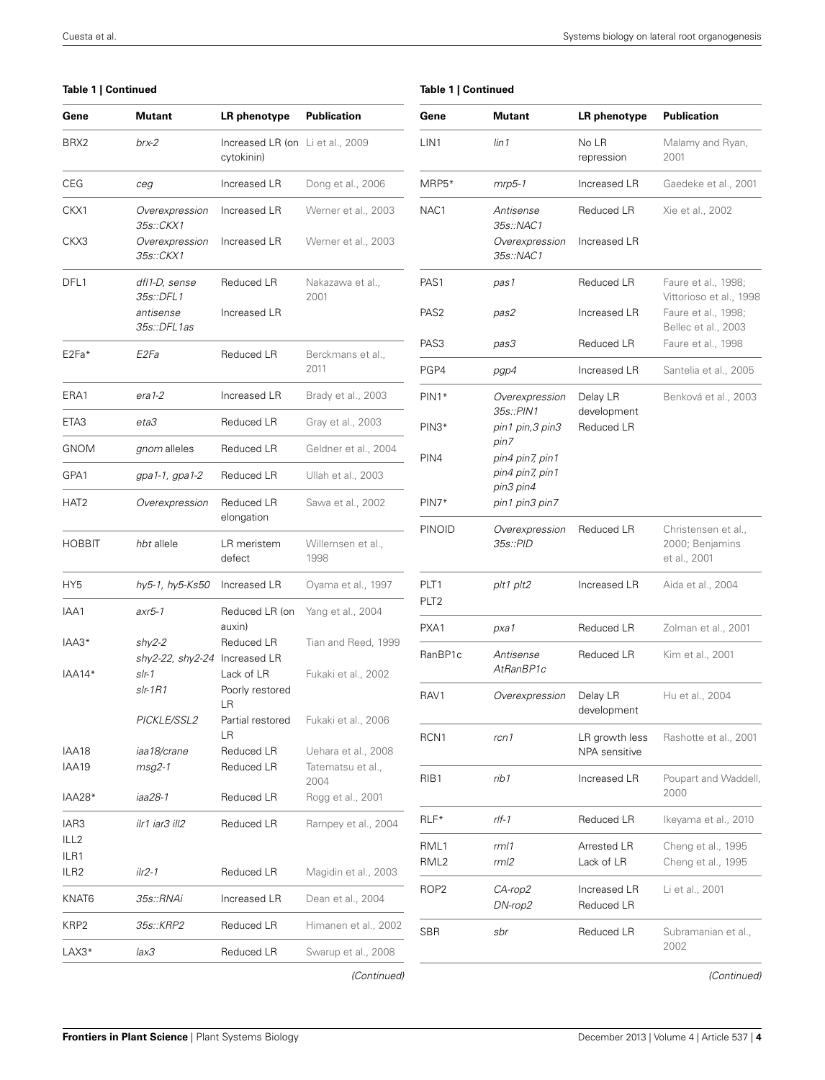**Table 1 | Continued**

| Gene                             | Mutant                                    | LR phenotype                                   | <b>Publication</b>                               |
|----------------------------------|-------------------------------------------|------------------------------------------------|--------------------------------------------------|
| BRX2                             | $brx-2$                                   | Increased LR (on Li et al., 2009<br>cytokinin) |                                                  |
| CEG                              | ceg                                       | Increased LR                                   | Dong et al., 2006                                |
| CKX1                             | Overexpression<br>35s::CKX1               | Increased LR                                   | Werner et al., 2003                              |
| СКХЗ                             | Overexpression<br>35s::CKX1               | Increased LR                                   | Werner et al., 2003                              |
| DFL1                             | dfl1-D, sense<br><i>35s::DFL1</i>         | Reduced LR                                     | Nakazawa et al.,<br>2001                         |
|                                  | antisense<br>35s::DFL1as                  | Increased LR                                   |                                                  |
| E2Fa*                            | E2Fa                                      | Reduced LR                                     | Berckmans et al.,<br>2011                        |
| ERA1                             | $era1-2$                                  | Increased LR                                   | Brady et al., 2003                               |
| ETA3                             | eta3                                      | Reduced LR                                     | Gray et al., 2003                                |
| GNOM                             | gnom alleles                              | Reduced LR                                     | Geldner et al., 2004                             |
| GPA1                             | gpa1-1, gpa1-2                            | Reduced LR                                     | Ullah et al., 2003                               |
| HAT2                             | Overexpression                            | Reduced LR<br>elongation                       | Sawa et al., 2002                                |
| HOBBIT                           | hbt allele                                | LR meristem<br>defect                          | Willemsen et al.,<br>1998                        |
| HY5                              | hy5-1, hy5-Ks50                           | Increased LR                                   | Oyama et al., 1997                               |
| IAA1                             | $axr5-1$                                  | Reduced LR (on<br>auxin)                       | Yang et al., 2004                                |
| IAA3*                            | $shy2-2$<br>shy2-22, shy2-24 Increased LR | Reduced LR                                     | Tian and Reed, 1999                              |
| IAA14*                           | $s/r-1$<br>$s$ Ir-1 $R1$                  | Lack of LR<br>Poorly restored                  | Fukaki et al., 2002                              |
|                                  | PICKLE/SSL2                               | LR<br>Partial restored<br>LR                   | Fukaki et al., 2006                              |
| IAA18<br>IAA19                   | iaa 18/crane<br>$msg2-1$                  | Reduced LR<br>Reduced LR                       | Uehara et al., 2008<br>Tatematsu et al.,<br>2004 |
| IAA28*                           | iaa28-1                                   | Reduced LR                                     | Rogg et al., 2001                                |
| IAR3<br>ILL <sub>2</sub><br>ILR1 | ilr1 iar3 ill2                            | Reduced LR                                     | Rampey et al., 2004                              |
| ILR <sub>2</sub>                 | $ir2-1$                                   | Reduced LR                                     | Magidin et al., 2003                             |
| KNAT6                            | 35s::RNAi                                 | Increased LR                                   | Dean et al., 2004                                |
| KRP2                             | <i>35s::KRP2</i>                          | Reduced LR                                     | Himanen et al., 2002                             |
| LAX3*                            | lax3                                      | Reduced LR                                     | Swarup et al., 2008                              |

| Table 1   Continued |
|---------------------|
|                     |

**Gene Mutant LR phenotype Publication** LIN1 *lin1* No LR repression [Malamy and Ryan](#page-8-28), [2001](#page-8-28) MRP5\* *mrp5-1* Increased LR [Gaedeke et al., 2001](#page-8-29) NAC1 *Antisense 35s::NAC1* Reduced LR [Xie et al., 2002](#page-10-11) *Overexpression 35s::NAC1* Increased LR PAS1 *pas1* Reduced LR [Faure et al., 1998](#page-7-23); [Vittorioso et al.](#page-10-12), [1998](#page-10-12) PAS2 *pas2* Increased LR [Faure et al., 1998](#page-7-23); [Bellec et al.](#page-7-24), [2003](#page-7-24) PAS3 *pas3* Reduced LR [Faure et al., 1998](#page-7-23) PGP4 *pgp4* Increased LR [Santelia et al.](#page-9-18), [2005](#page-9-18) PIN1\* *Overexpression 35s::PIN1* Delay LR development [Benková et al.](#page-7-1), [2003](#page-7-1) PIN3\* *pin1 pin,3 pin3 pin7* Reduced LR PIN4 *pin4 pin7, pin1 pin4 pin7, pin1 pin3 pin4* PIN7\* *pin1 pin3 pin7* PINOID *Overexpression 35s::PID* Reduced LR [Christensen et al.](#page-7-25), [2000;](#page-7-25) Benjamins et al., [2001](#page-7-26) PLT1 *plt1 plt2* Increased LR [Aida et al., 2004](#page-7-27) PLT2 PXA1 *pxa1* Reduced LR [Zolman et al., 2001](#page-10-13) RanBP1c *Antisense AtRanBP1c* Reduced LR [Kim et al.](#page-8-30), [2001](#page-8-30) RAV1 *Overexpression* Delay LR development [Hu et al., 2004](#page-8-31) RCN1 *rcn1* LR growth less NPA sensitive [Rashotte et al., 2001](#page-9-19) RIB1 *rib1* Increased LR [Poupart and Waddell](#page-9-20), [2000](#page-9-20) RLF<sup>\*</sup> *rlf-1* Reduced LR [Ikeyama et al., 2010](#page-8-18) RML1 *rml1* Arrested LR [Cheng et al., 1995](#page-7-28) RML2 *rml2* Lack of LR [Cheng et al., 1995](#page-7-28) ROP2 *CA-rop2* Increased LR [Li et al.](#page-8-32), [2001](#page-8-32) *DN-rop2* Reduced LR SBR *sbr* **Reduced LR** [Subramanian et al.,](#page-9-21) [2002](#page-9-21) *(Continued)*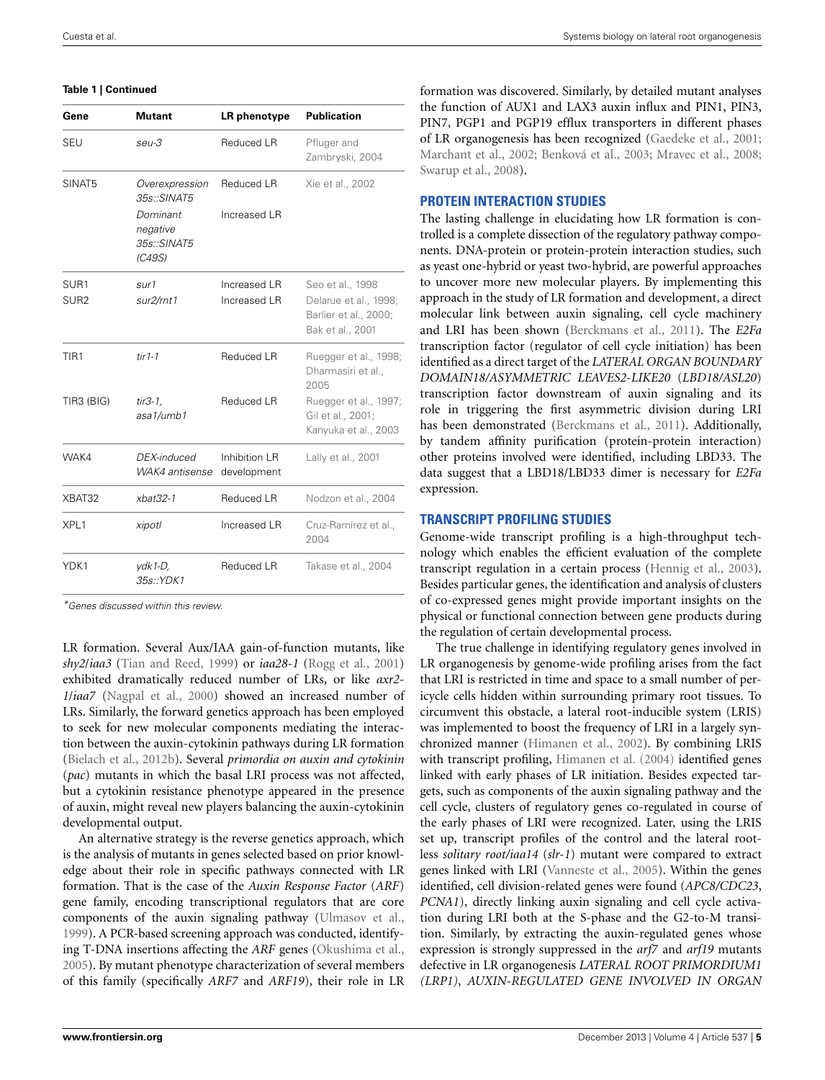**Table 1 | Continued**

| Gene             | <b>Mutant</b>                                 | LR phenotype                 | <b>Publication</b>                                                 |
|------------------|-----------------------------------------------|------------------------------|--------------------------------------------------------------------|
| SEU              | seu-3                                         | Reduced LR                   | Pfluger and<br>Zambryski, 2004                                     |
| SINAT5           | Overexpression<br>35s::SINAT5                 | Reduced LR                   | Xie et al., 2002                                                   |
|                  | Dominant<br>negative<br>35s::SINAT5<br>(C49S) | Increased LR                 |                                                                    |
| SUR <sub>1</sub> | sur 1                                         | Increased LR                 | Seo et al., 1998                                                   |
| SUR <sub>2</sub> | sur2/rnt1                                     | Increased LR                 | Delarue et al., 1998;<br>Barlier et al., 2000;<br>Bak et al., 2001 |
| TIR <sub>1</sub> | $tri$ 1-1                                     | Reduced LR                   | Ruegger et al., 1998;<br>Dharmasiri et al.,<br>2005                |
| TIR3 (BIG)       | $t$ ir 3-1,<br>asa1/umb1                      | Reduced LR                   | Ruegger et al., 1997;<br>Gil et al., 2001;<br>Kanyuka et al., 2003 |
| WAK4             | DEX-induced<br>WAK4 antisense                 | Inhibition LR<br>development | Lally et al., 2001                                                 |
| XBAT32           | $x$ hat $32-1$                                | Reduced LR                   | Nodzon et al., 2004                                                |
| XPL1             | xipotl                                        | Increased LR                 | Cruz-Ramírez et al.,<br>2004                                       |
| YDK1             | ydk 1-D,<br>35s: YDK1                         | Reduced LR                   | Takase et al., 2004                                                |

*\*Genes discussed within this review.*

LR formation. Several Aux/IAA gain-of-function mutants, like *shy2*/*iaa3* [\(Tian and Reed, 1999\)](#page-10-8) or *iaa28-1* [\(Rogg et al.](#page-9-16), [2001](#page-9-16)) exhibited dramatically reduced number of LRs, or like *axr2- 1*/*iaa7* [\(Nagpal et al.](#page-9-12), [2000](#page-9-12)) showed an increased number of LRs. Similarly, the forward genetics approach has been employed to seek for new molecular components mediating the interaction between the auxin-cytokinin pathways during LR formation [\(Bielach et al., 2012b\)](#page-7-33). Several *primordia on auxin and cytokinin* (*pac*) mutants in which the basal LRI process was not affected, but a cytokinin resistance phenotype appeared in the presence of auxin, might reveal new players balancing the auxin-cytokinin developmental output.

An alternative strategy is the reverse genetics approach, which is the analysis of mutants in genes selected based on prior knowledge about their role in specific pathways connected with LR formation. That is the case of the *Auxin Response Factor* (*ARF*) gene family, encoding transcriptional regulators that are core components of the auxin signaling pathway [\(Ulmasov et al.,](#page-10-14) [1999](#page-10-14)). A PCR-based screening approach was conducted, identifying T-DNA insertions affecting the *ARF* genes [\(Okushima et al.,](#page-9-9) [2005](#page-9-9)). By mutant phenotype characterization of several members of this family (specifically *ARF7* and *ARF19*), their role in LR

formation was discovered. Similarly, by detailed mutant analyses the function of AUX1 and LAX3 auxin influx and PIN1, PIN3, PIN7, PGP1 and PGP19 efflux transporters in different phases of LR organogenesis has been recognized [\(Gaedeke et al., 2001;](#page-8-29) [Marchant et al.](#page-9-11), [2002;](#page-9-11) [Benková et al.](#page-7-1), [2003;](#page-7-1) [Mravec et al.](#page-9-28), [2008;](#page-9-28) [Swarup et al., 2008\)](#page-9-4).

# **PROTEIN INTERACTION STUDIES**

The lasting challenge in elucidating how LR formation is controlled is a complete dissection of the regulatory pathway components. DNA-protein or protein-protein interaction studies, such as yeast one-hybrid or yeast two-hybrid, are powerful approaches to uncover more new molecular players. By implementing this approach in the study of LR formation and development, a direct molecular link between auxin signaling, cell cycle machinery and LRI has been shown [\(Berckmans et al.](#page-7-21), [2011](#page-7-21)). The *E2Fa* transcription factor (regulator of cell cycle initiation) has been identified as a direct target of the *LATERAL ORGAN BOUNDARY DOMAIN18/ASYMMETRIC LEAVES2-LIKE20* (*LBD18/ASL20*) transcription factor downstream of auxin signaling and its role in triggering the first asymmetric division during LRI has been demonstrated [\(Berckmans et al., 2011](#page-7-21)). Additionally, by tandem affinity purification (protein-protein interaction) other proteins involved were identified, including LBD33. The data suggest that a LBD18/LBD33 dimer is necessary for *E2Fa* expression.

# **TRANSCRIPT PROFILING STUDIES**

Genome-wide transcript profiling is a high-throughput technology which enables the efficient evaluation of the complete transcript regulation in a certain process [\(Hennig et al.](#page-8-36), [2003](#page-8-36)). Besides particular genes, the identification and analysis of clusters of co-expressed genes might provide important insights on the physical or functional connection between gene products during the regulation of certain developmental process.

The true challenge in identifying regulatory genes involved in LR organogenesis by genome-wide profiling arises from the fact that LRI is restricted in time and space to a small number of pericycle cells hidden within surrounding primary root tissues. To circumvent this obstacle, a lateral root-inducible system (LRIS) was implemented to boost the frequency of LRI in a largely synchronized manner [\(Himanen et al., 2002\)](#page-8-11). By combining LRIS with transcript profiling, [Himanen et al.](#page-8-37) [\(2004](#page-8-37)) identified genes linked with early phases of LR initiation. Besides expected targets, such as components of the auxin signaling pathway and the cell cycle, clusters of regulatory genes co-regulated in course of the early phases of LRI were recognized. Later, using the LRIS set up, transcript profiles of the control and the lateral rootless *solitary root/iaa14* (*slr-1*) mutant were compared to extract genes linked with LRI [\(Vanneste et al.](#page-10-15), [2005\)](#page-10-15). Within the genes identified, cell division-related genes were found (*APC8/CDC23*, *PCNA1*), directly linking auxin signaling and cell cycle activation during LRI both at the S-phase and the G2-to-M transition. Similarly, by extracting the auxin-regulated genes whose expression is strongly suppressed in the *arf7* and *arf19* mutants defective in LR organogenesis *LATERAL ROOT PRIMORDIUM1 (LRP1)*, *AUXIN-REGULATED GENE INVOLVED IN ORGAN*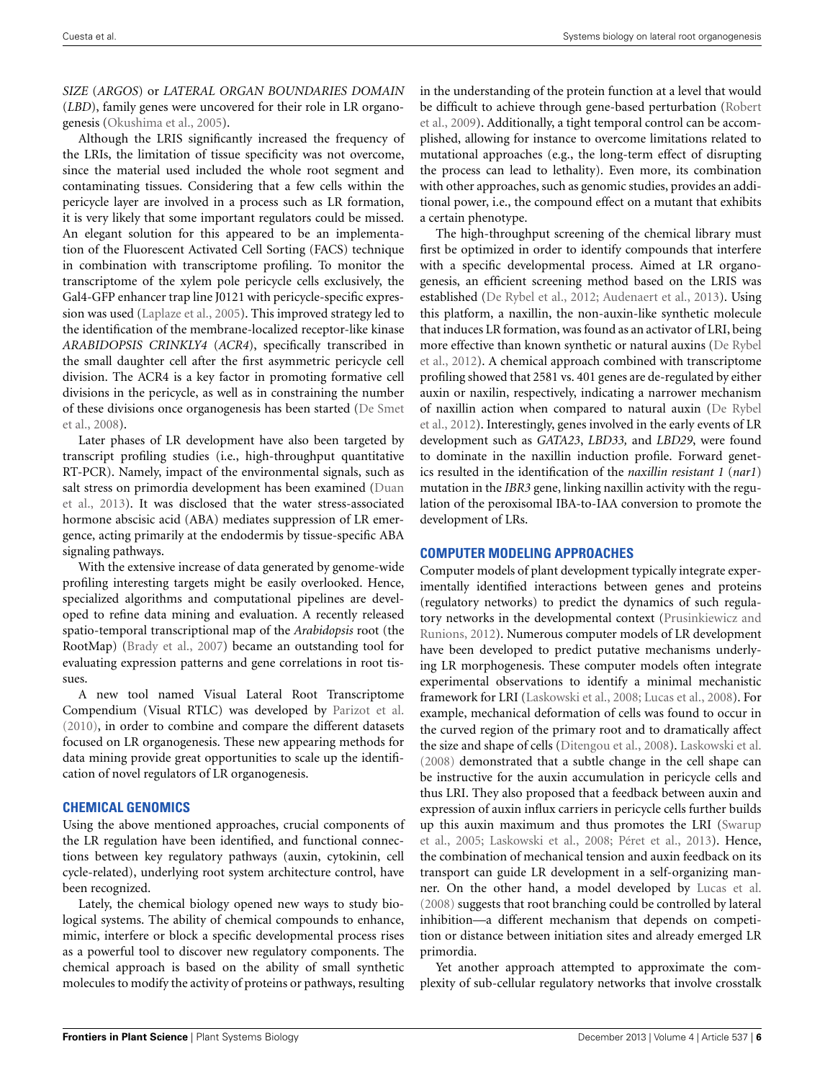*SIZE* (*ARGOS*) or *LATERAL ORGAN BOUNDARIES DOMAIN* (*LBD*), family genes were uncovered for their role in LR organogenesis [\(Okushima et al., 2005](#page-9-9)).

Although the LRIS significantly increased the frequency of the LRIs, the limitation of tissue specificity was not overcome, since the material used included the whole root segment and contaminating tissues. Considering that a few cells within the pericycle layer are involved in a process such as LR formation, it is very likely that some important regulators could be missed. An elegant solution for this appeared to be an implementation of the Fluorescent Activated Cell Sorting (FACS) technique in combination with transcriptome profiling. To monitor the transcriptome of the xylem pole pericycle cells exclusively, the Gal4-GFP enhancer trap line J0121 with pericycle-specific expression was used [\(Laplaze et al., 2005](#page-8-38)). This improved strategy led to the identification of the membrane-localized receptor-like kinase *ARABIDOPSIS CRINKLY4* (*ACR4*), specifically transcribed in the small daughter cell after the first asymmetric pericycle cell division. The ACR4 is a key factor in promoting formative cell divisions in the pericycle, as well as in constraining the number of t[hese divisions once organogenesis has been started \(](#page-7-17)De Smet et al., [2008\)](#page-7-17).

Later phases of LR development have also been targeted by transcript profiling studies (i.e., high-throughput quantitative RT-PCR). Namely, impact of the environmental signals, such as salt s[tress](#page-7-34) [on](#page-7-34) [primordia](#page-7-34) [development](#page-7-34) [has](#page-7-34) [been](#page-7-34) [examined](#page-7-34) [\(](#page-7-34)Duan et al., [2013](#page-7-34)). It was disclosed that the water stress-associated hormone abscisic acid (ABA) mediates suppression of LR emergence, acting primarily at the endodermis by tissue-specific ABA signaling pathways.

With the extensive increase of data generated by genome-wide profiling interesting targets might be easily overlooked. Hence, specialized algorithms and computational pipelines are developed to refine data mining and evaluation. A recently released spatio-temporal transcriptional map of the *Arabidopsis* root (the RootMap) [\(Brady et al., 2007\)](#page-7-35) became an outstanding tool for evaluating expression patterns and gene correlations in root tissues.

A new tool named Visual Lateral Root Transcriptome Compendium (Visual RTLC) was developed by [Parizot et al.](#page-9-29) [\(2010\)](#page-9-29), in order to combine and compare the different datasets focused on LR organogenesis. These new appearing methods for data mining provide great opportunities to scale up the identification of novel regulators of LR organogenesis.

## **CHEMICAL GENOMICS**

Using the above mentioned approaches, crucial components of the LR regulation have been identified, and functional connections between key regulatory pathways (auxin, cytokinin, cell cycle-related), underlying root system architecture control, have been recognized.

Lately, the chemical biology opened new ways to study biological systems. The ability of chemical compounds to enhance, mimic, interfere or block a specific developmental process rises as a powerful tool to discover new regulatory components. The chemical approach is based on the ability of small synthetic molecules to modify the activity of proteins or pathways, resulting in the understanding of the protein function at a level that would be d[ifficult](#page-9-30) [to](#page-9-30) [achieve](#page-9-30) [through](#page-9-30) [gene-based](#page-9-30) [perturbation](#page-9-30) [\(](#page-9-30)Robert et al., [2009\)](#page-9-30). Additionally, a tight temporal control can be accomplished, allowing for instance to overcome limitations related to mutational approaches (e.g., the long-term effect of disrupting the process can lead to lethality). Even more, its combination with other approaches, such as genomic studies, provides an additional power, i.e., the compound effect on a mutant that exhibits a certain phenotype.

The high-throughput screening of the chemical library must first be optimized in order to identify compounds that interfere with a specific developmental process. Aimed at LR organogenesis, an efficient screening method based on the LRIS was established [\(De Rybel et al.](#page-7-36), [2012](#page-7-36); [Audenaert et al.](#page-7-37), [2013](#page-7-37)). Using this platform, a naxillin, the non-auxin-like synthetic molecule that induces LR formation, was found as an activator of LRI, being mor[e](#page-7-36) [effective](#page-7-36) [than](#page-7-36) [known](#page-7-36) [synthetic](#page-7-36) [or](#page-7-36) [natural](#page-7-36) [auxins](#page-7-36) [\(](#page-7-36)De Rybel et al., [2012](#page-7-36)). A chemical approach combined with transcriptome profiling showed that 2581 vs. 401 genes are de-regulated by either auxin or naxilin, respectively, indicating a narrower mechanism of n[axillin action when compared to natural auxin \(](#page-7-36)De Rybel et al., [2012](#page-7-36)). Interestingly, genes involved in the early events of LR development such as *GATA23*, *LBD33,* and *LBD29*, were found to dominate in the naxillin induction profile. Forward genetics resulted in the identification of the *naxillin resistant 1* (*nar1*) mutation in the *IBR3* gene, linking naxillin activity with the regulation of the peroxisomal IBA-to-IAA conversion to promote the development of LRs.

# **COMPUTER MODELING APPROACHES**

Computer models of plant development typically integrate experimentally identified interactions between genes and proteins (regulatory networks) to predict the dynamics of such regulatory net[works in the developmental context \(](#page-9-31)Prusinkiewicz and Runions, [2012\)](#page-9-31). Numerous computer models of LR development have been developed to predict putative mechanisms underlying LR morphogenesis. These computer models often integrate experimental observations to identify a minimal mechanistic framework for LRI [\(Laskowski et al.](#page-8-12), [2008;](#page-8-12) [Lucas et al.](#page-8-39), [2008\)](#page-8-39). For example, mechanical deformation of cells was found to occur in the curved region of the primary root and to dramatically affect the size and shape of cells [\(Ditengou et al.](#page-7-6), [2008](#page-7-6)). [Laskowski et al.](#page-8-12) [\(2008\)](#page-8-12) demonstrated that a subtle change in the cell shape can be instructive for the auxin accumulation in pericycle cells and thus LRI. They also proposed that a feedback between auxin and expression of auxin influx carriers in pericycle cells further builds up t[his auxin maximum and thus promotes the LRI \(](#page-9-32)Swarup et al., [2005](#page-9-32); [Laskowski et al., 2008](#page-8-12); [Péret et al.](#page-9-33), [2013\)](#page-9-33). Hence, the combination of mechanical tension and auxin feedback on its transport can guide LR development in a self-organizing manner. On the other hand, a model developed by [Lucas et al.](#page-8-39) [\(2008\)](#page-8-39) suggests that root branching could be controlled by lateral inhibition—a different mechanism that depends on competition or distance between initiation sites and already emerged LR primordia.

Yet another approach attempted to approximate the complexity of sub-cellular regulatory networks that involve crosstalk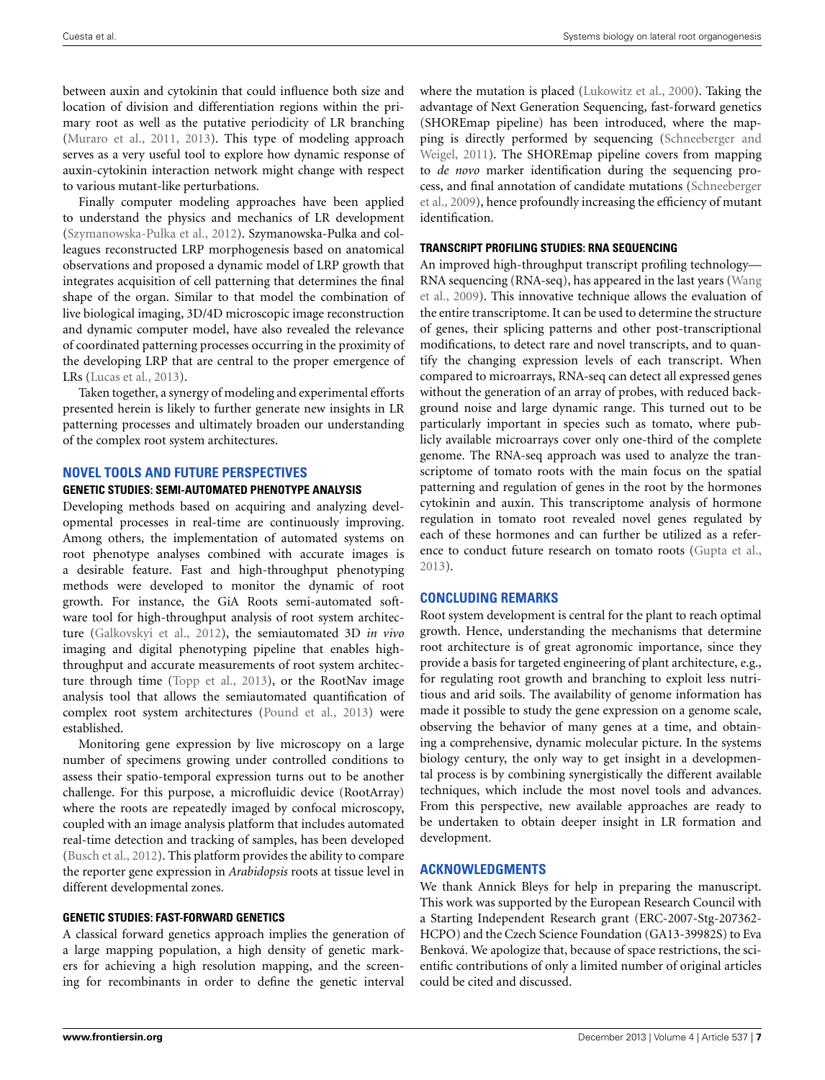between auxin and cytokinin that could influence both size and location of division and differentiation regions within the primary root as well as the putative periodicity of LR branching [\(Muraro et al.](#page-9-34), [2011](#page-9-34), [2013\)](#page-9-35). This type of modeling approach serves as a very useful tool to explore how dynamic response of auxin-cytokinin interaction network might change with respect to various mutant-like perturbations.

Finally computer modeling approaches have been applied to understand the physics and mechanics of LR development [\(Szymanowska-Pulka et al., 2012](#page-9-36)). Szymanowska-Pulka and colleagues reconstructed LRP morphogenesis based on anatomical observations and proposed a dynamic model of LRP growth that integrates acquisition of cell patterning that determines the final shape of the organ. Similar to that model the combination of live biological imaging, 3D/4D microscopic image reconstruction and dynamic computer model, have also revealed the relevance of coordinated patterning processes occurring in the proximity of the developing LRP that are central to the proper emergence of LRs [\(Lucas et al., 2013\)](#page-8-13).

Taken together, a synergy of modeling and experimental efforts presented herein is likely to further generate new insights in LR patterning processes and ultimately broaden our understanding of the complex root system architectures.

# **NOVEL TOOLS AND FUTURE PERSPECTIVES**

#### **GENETIC STUDIES: SEMI-AUTOMATED PHENOTYPE ANALYSIS**

Developing methods based on acquiring and analyzing developmental processes in real-time are continuously improving. Among others, the implementation of automated systems on root phenotype analyses combined with accurate images is a desirable feature. Fast and high-throughput phenotyping methods were developed to monitor the dynamic of root growth. For instance, the GiA Roots semi-automated software tool for high-throughput analysis of root system architecture [\(Galkovskyi et al., 2012\)](#page-8-40), the semiautomated 3D *in vivo* imaging and digital phenotyping pipeline that enables highthroughput and accurate measurements of root system architecture through time [\(Topp et al.](#page-10-16), [2013\)](#page-10-16), or the RootNav image analysis tool that allows the semiautomated quantification of complex root system architectures [\(Pound et al., 2013\)](#page-9-37) were established.

Monitoring gene expression by live microscopy on a large number of specimens growing under controlled conditions to assess their spatio-temporal expression turns out to be another challenge. For this purpose, a microfluidic device (RootArray) where the roots are repeatedly imaged by confocal microscopy, coupled with an image analysis platform that includes automated real-time detection and tracking of samples, has been developed [\(Busch et al.](#page-7-38), [2012\)](#page-7-38). This platform provides the ability to compare the reporter gene expression in *Arabidopsis* roots at tissue level in different developmental zones.

#### **GENETIC STUDIES: FAST-FORWARD GENETICS**

A classical forward genetics approach implies the generation of a large mapping population, a high density of genetic markers for achieving a high resolution mapping, and the screening for recombinants in order to define the genetic interval

where the mutation is placed [\(Lukowitz et al., 2000\)](#page-8-16). Taking the advantage of Next Generation Sequencing, fast-forward genetics (SHOREmap pipeline) has been introduced, where the mapping i[s](#page-9-38) [directly](#page-9-38) [performed](#page-9-38) [by](#page-9-38) [sequencing](#page-9-38) [\(](#page-9-38)Schneeberger and Weigel, [2011\)](#page-9-38). The SHOREmap pipeline covers from mapping to *de novo* marker identification during the sequencing process, [and final annotation of candidate mutations \(](#page-9-39)Schneeberger et al., [2009](#page-9-39)), hence profoundly increasing the efficiency of mutant identification.

## **TRANSCRIPT PROFILING STUDIES: RNA SEQUENCING**

An improved high-throughput transcript profiling technology— RNA [sequencing \(RNA-seq\), has appeared in the last years \(](#page-10-17)Wang et al., [2009\)](#page-10-17). This innovative technique allows the evaluation of the entire transcriptome. It can be used to determine the structure of genes, their splicing patterns and other post-transcriptional modifications, to detect rare and novel transcripts, and to quantify the changing expression levels of each transcript. When compared to microarrays, RNA-seq can detect all expressed genes without the generation of an array of probes, with reduced background noise and large dynamic range. This turned out to be particularly important in species such as tomato, where publicly available microarrays cover only one-third of the complete genome. The RNA-seq approach was used to analyze the transcriptome of tomato roots with the main focus on the spatial patterning and regulation of genes in the root by the hormones cytokinin and auxin. This transcriptome analysis of hormone regulation in tomato root revealed novel genes regulated by each of these hormones and can further be utilized as a reference to conduct future research on tomato roots [\(Gupta et al.,](#page-8-41) [2013](#page-8-41)).

## **CONCLUDING REMARKS**

Root system development is central for the plant to reach optimal growth. Hence, understanding the mechanisms that determine root architecture is of great agronomic importance, since they provide a basis for targeted engineering of plant architecture, e.g., for regulating root growth and branching to exploit less nutritious and arid soils. The availability of genome information has made it possible to study the gene expression on a genome scale, observing the behavior of many genes at a time, and obtaining a comprehensive, dynamic molecular picture. In the systems biology century, the only way to get insight in a developmental process is by combining synergistically the different available techniques, which include the most novel tools and advances. From this perspective, new available approaches are ready to be undertaken to obtain deeper insight in LR formation and development.

## **ACKNOWLEDGMENTS**

We thank Annick Bleys for help in preparing the manuscript. This work was supported by the European Research Council with a Starting Independent Research grant (ERC-2007-Stg-207362- HCPO) and the Czech Science Foundation (GA13-39982S) to Eva Benková. We apologize that, because of space restrictions, the scientific contributions of only a limited number of original articles could be cited and discussed.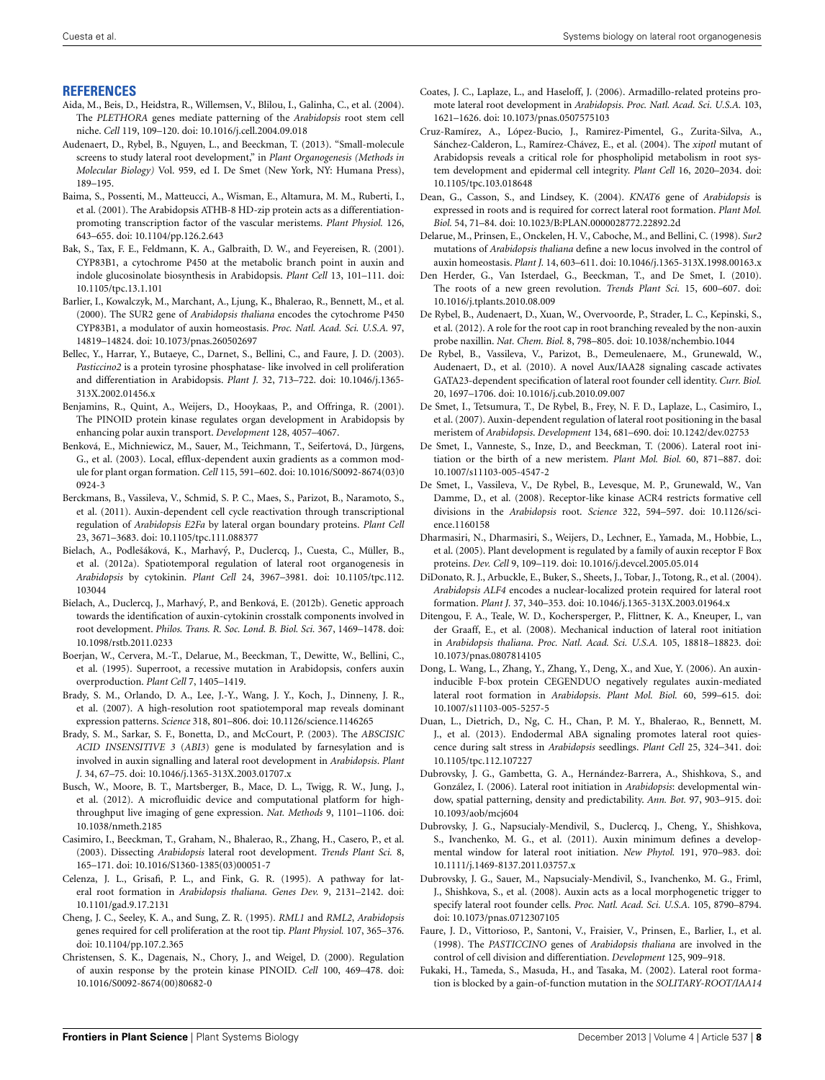#### **REFERENCES**

- <span id="page-7-27"></span>Aida, M., Beis, D., Heidstra, R., Willemsen, V., Blilou, I., Galinha, C., et al. (2004). The *PLETHORA* genes mediate patterning of the *Arabidopsis* root stem cell niche. *Cell* 119, 109–120. doi: 10.1016/j.cell.2004.09.018
- <span id="page-7-37"></span>Audenaert, D., Rybel, B., Nguyen, L., and Beeckman, T. (2013). "Small-molecule screens to study lateral root development," in *Plant Organogenesis (Methods in Molecular Biology)* Vol. 959, ed I. De Smet (New York, NY: Humana Press), 189–195.
- <span id="page-7-19"></span>Baima, S., Possenti, M., Matteucci, A., Wisman, E., Altamura, M. M., Ruberti, I., et al. (2001). The Arabidopsis ATHB-8 HD-zip protein acts as a differentiationpromoting transcription factor of the vascular meristems. *Plant Physiol.* 126, 643–655. doi: 10.1104/pp.126.2.643
- <span id="page-7-31"></span>Bak, S., Tax, F. E., Feldmann, K. A., Galbraith, D. W., and Feyereisen, R. (2001). CYP83B1, a cytochrome P450 at the metabolic branch point in auxin and indole glucosinolate biosynthesis in Arabidopsis. *Plant Cell* 13, 101–111. doi: 10.1105/tpc.13.1.101
- <span id="page-7-30"></span>Barlier, I., Kowalczyk, M., Marchant, A., Ljung, K., Bhalerao, R., Bennett, M., et al. (2000). The SUR2 gene of *Arabidopsis thaliana* encodes the cytochrome P450 CYP83B1, a modulator of auxin homeostasis. *Proc. Natl. Acad. Sci. U.S.A.* 97, 14819–14824. doi: 10.1073/pnas.260502697
- <span id="page-7-24"></span>Bellec, Y., Harrar, Y., Butaeye, C., Darnet, S., Bellini, C., and Faure, J. D. (2003). *Pasticcino2* is a protein tyrosine phosphatase- like involved in cell proliferation and differentiation in Arabidopsis. *Plant J.* 32, 713–722. doi: 10.1046/j.1365- 313X.2002.01456.x
- <span id="page-7-26"></span>Benjamins, R., Quint, A., Weijers, D., Hooykaas, P., and Offringa, R. (2001). The PINOID protein kinase regulates organ development in Arabidopsis by enhancing polar auxin transport. *Development* 128, 4057–4067.
- <span id="page-7-1"></span>Benková, E., Michniewicz, M., Sauer, M., Teichmann, T., Seifertová, D., Jürgens, G., et al. (2003). Local, efflux-dependent auxin gradients as a common module for plant organ formation. *Cell* 115, 591–602. doi: 10.1016/S0092-8674(03)0 0924-3
- <span id="page-7-21"></span>Berckmans, B., Vassileva, V., Schmid, S. P. C., Maes, S., Parizot, B., Naramoto, S., et al. (2011). Auxin-dependent cell cycle reactivation through transcriptional regulation of *Arabidopsis E2Fa* by lateral organ boundary proteins. *Plant Cell* 23, 3671–3683. doi: 10.1105/tpc.111.088377
- <span id="page-7-2"></span>Bielach, A., Podlešáková, K., Marhavý, P., Duclercq, J., Cuesta, C., Müller, B., et al. (2012a). Spatiotemporal regulation of lateral root organogenesis in *Arabidopsis* by cytokinin. *Plant Cell* 24, 3967–3981. doi: 10.1105/tpc.112. 103044
- <span id="page-7-33"></span>Bielach, A., Duclercq, J., Marhav*y*´, P., and Benková, E. (2012b). Genetic approach towards the identification of auxin-cytokinin crosstalk components involved in root development. *Philos. Trans. R. Soc. Lond. B. Biol. Sci.* 367, 1469–1478. doi: 10.1098/rstb.2011.0233
- <span id="page-7-11"></span>Boerjan, W., Cervera, M.-T., Delarue, M., Beeckman, T., Dewitte, W., Bellini, C., et al. (1995). Superroot, a recessive mutation in Arabidopsis, confers auxin overproduction. *Plant Cell* 7, 1405–1419.
- <span id="page-7-35"></span>Brady, S. M., Orlando, D. A., Lee, J.-Y., Wang, J. Y., Koch, J., Dinneny, J. R., et al. (2007). A high-resolution root spatiotemporal map reveals dominant expression patterns. *Science* 318, 801–806. doi: 10.1126/science.1146265
- <span id="page-7-16"></span>Brady, S. M., Sarkar, S. F., Bonetta, D., and McCourt, P. (2003). The *ABSCISIC ACID INSENSITIVE 3* (*ABI3*) gene is modulated by farnesylation and is involved in auxin signalling and lateral root development in *Arabidopsis*. *Plant J.* 34, 67–75. doi: 10.1046/j.1365-313X.2003.01707.x
- <span id="page-7-38"></span>Busch, W., Moore, B. T., Martsberger, B., Mace, D. L., Twigg, R. W., Jung, J., et al. (2012). A microfluidic device and computational platform for highthroughput live imaging of gene expression. *Nat. Methods* 9, 1101–1106. doi: 10.1038/nmeth.2185
- <span id="page-7-14"></span>Casimiro, I., Beeckman, T., Graham, N., Bhalerao, R., Zhang, H., Casero, P., et al. (2003). Dissecting *Arabidopsis* lateral root development. *Trends Plant Sci.* 8, 165–171. doi: 10.1016/S1360-1385(03)00051-7
- <span id="page-7-7"></span>Celenza, J. L., Grisafi, P. L., and Fink, G. R. (1995). A pathway for lateral root formation in *Arabidopsis thaliana*. *Genes Dev.* 9, 2131–2142. doi: 10.1101/gad.9.17.2131
- <span id="page-7-28"></span>Cheng, J. C., Seeley, K. A., and Sung, Z. R. (1995). *RML1* and *RML2*, *Arabidopsis* genes required for cell proliferation at the root tip. *Plant Physiol.* 107, 365–376. doi: 10.1104/pp.107.2.365
- <span id="page-7-25"></span>Christensen, S. K., Dagenais, N., Chory, J., and Weigel, D. (2000). Regulation of auxin response by the protein kinase PINOID. *Cell* 100, 469–478. doi: 10.1016/S0092-8674(00)80682-0
- <span id="page-7-18"></span>Coates, J. C., Laplaze, L., and Haseloff, J. (2006). Armadillo-related proteins promote lateral root development in *Arabidopsis*. *Proc. Natl. Acad. Sci. U.S.A.* 103, 1621–1626. doi: 10.1073/pnas.0507575103
- <span id="page-7-32"></span>Cruz-Ramírez, A., López-Bucio, J., Ramirez-Pimentel, G., Zurita-Silva, A., Sánchez-Calderon, L., Ramírez-Chávez, E., et al. (2004). The *xipotl* mutant of Arabidopsis reveals a critical role for phospholipid metabolism in root system development and epidermal cell integrity. *Plant Cell* 16, 2020–2034. doi: 10.1105/tpc.103.018648
- <span id="page-7-22"></span>Dean, G., Casson, S., and Lindsey, K. (2004). *KNAT6* gene of *Arabidopsis* is expressed in roots and is required for correct lateral root formation. *Plant Mol. Biol.* 54, 71–84. doi: 10.1023/B:PLAN.0000028772.22892.2d
- <span id="page-7-29"></span>Delarue, M., Prinsen, E., Onckelen, H. V., Caboche, M., and Bellini, C. (1998). *Sur2* mutations of *Arabidopsis thaliana* define a new locus involved in the control of auxin homeostasis. *Plant J.* 14, 603–611. doi: 10.1046/j.1365-313X.1998.00163.x
- <span id="page-7-0"></span>Den Herder, G., Van Isterdael, G., Beeckman, T., and De Smet, I. (2010). The roots of a new green revolution. *Trends Plant Sci.* 15, 600–607. doi: 10.1016/j.tplants.2010.08.009
- <span id="page-7-36"></span>De Rybel, B., Audenaert, D., Xuan, W., Overvoorde, P., Strader, L. C., Kepinski, S., et al. (2012). A role for the root cap in root branching revealed by the non-auxin probe naxillin. *Nat. Chem. Biol.* 8, 798–805. doi: 10.1038/nchembio.1044
- <span id="page-7-10"></span>De Rybel, B., Vassileva, V., Parizot, B., Demeulenaere, M., Grunewald, W., Audenaert, D., et al. (2010). A novel Aux/IAA28 signaling cascade activates GATA23-dependent specification of lateral root founder cell identity. *Curr. Biol.* 20, 1697–1706. doi: 10.1016/j.cub.2010.09.007
- <span id="page-7-5"></span>De Smet, I., Tetsumura, T., De Rybel, B., Frey, N. F. D., Laplaze, L., Casimiro, I., et al. (2007). Auxin-dependent regulation of lateral root positioning in the basal meristem of *Arabidopsis*. *Development* 134, 681–690. doi: 10.1242/dev.02753
- <span id="page-7-15"></span>De Smet, I., Vanneste, S., Inze, D., and Beeckman, T. (2006). Lateral root initiation or the birth of a new meristem. *Plant Mol. Biol.* 60, 871–887. doi: 10.1007/s11103-005-4547-2
- <span id="page-7-17"></span>De Smet, I., Vassileva, V., De Rybel, B., Levesque, M. P., Grunewald, W., Van Damme, D., et al. (2008). Receptor-like kinase ACR4 restricts formative cell divisions in the *Arabidopsis* root. *Science* 322, 594–597. doi: 10.1126/science.1160158
- <span id="page-7-13"></span>Dharmasiri, N., Dharmasiri, S., Weijers, D., Lechner, E., Yamada, M., Hobbie, L., et al. (2005). Plant development is regulated by a family of auxin receptor F Box proteins. *Dev. Cell* 9, 109–119. doi: 10.1016/j.devcel.2005.05.014
- <span id="page-7-8"></span>DiDonato, R. J., Arbuckle, E., Buker, S., Sheets, J., Tobar, J., Totong, R., et al. (2004). *Arabidopsis ALF4* encodes a nuclear-localized protein required for lateral root formation. *Plant J.* 37, 340–353. doi: 10.1046/j.1365-313X.2003.01964.x
- <span id="page-7-6"></span>Ditengou, F. A., Teale, W. D., Kochersperger, P., Flittner, K. A., Kneuper, I., van der Graaff, E., et al. (2008). Mechanical induction of lateral root initiation in *Arabidopsis thaliana*. *Proc. Natl. Acad. Sci. U.S.A.* 105, 18818–18823. doi: 10.1073/pnas.0807814105
- <span id="page-7-20"></span>Dong, L. Wang, L., Zhang, Y., Zhang, Y., Deng, X., and Xue, Y. (2006). An auxininducible F-box protein CEGENDUO negatively regulates auxin-mediated lateral root formation in *Arabidopsis*. *Plant Mol. Biol.* 60, 599–615. doi: 10.1007/s11103-005-5257-5
- <span id="page-7-34"></span>Duan, L., Dietrich, D., Ng, C. H., Chan, P. M. Y., Bhalerao, R., Bennett, M. J., et al. (2013). Endodermal ABA signaling promotes lateral root quiescence during salt stress in *Arabidopsis* seedlings. *Plant Cell* 25, 324–341. doi: 10.1105/tpc.112.107227
- <span id="page-7-3"></span>Dubrovsky, J. G., Gambetta, G. A., Hernández-Barrera, A., Shishkova, S., and González, I. (2006). Lateral root initiation in *Arabidopsis*: developmental window, spatial patterning, density and predictability. *Ann. Bot.* 97, 903–915. doi: 10.1093/aob/mcj604
- <span id="page-7-4"></span>Dubrovsky, J. G., Napsucialy-Mendivil, S., Duclercq, J., Cheng, Y., Shishkova, S., Ivanchenko, M. G., et al. (2011). Auxin minimum defines a developmental window for lateral root initiation. *New Phytol.* 191, 970–983. doi: 10.1111/j.1469-8137.2011.03757.x
- <span id="page-7-9"></span>Dubrovsky, J. G., Sauer, M., Napsucialy-Mendivil, S., Ivanchenko, M. G., Friml, J., Shishkova, S., et al. (2008). Auxin acts as a local morphogenetic trigger to specify lateral root founder cells. *Proc. Natl. Acad. Sci. U.S.A.* 105, 8790–8794. doi: 10.1073/pnas.0712307105
- <span id="page-7-23"></span>Faure, J. D., Vittorioso, P., Santoni, V., Fraisier, V., Prinsen, E., Barlier, I., et al. (1998). The *PASTICCINO* genes of *Arabidopsis thaliana* are involved in the control of cell division and differentiation. *Development* 125, 909–918.
- <span id="page-7-12"></span>Fukaki, H., Tameda, S., Masuda, H., and Tasaka, M. (2002). Lateral root formation is blocked by a gain-of-function mutation in the *SOLITARY-ROOT/IAA14*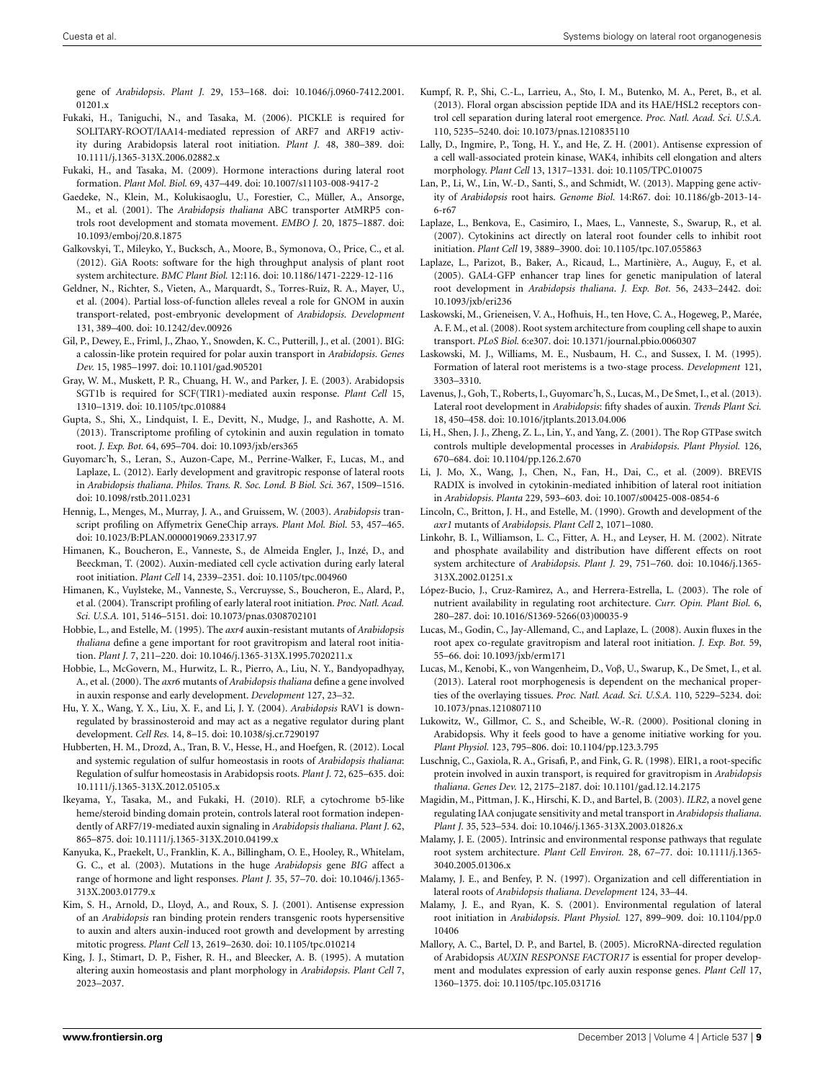gene of *Arabidopsis*. *Plant J.* 29, 153–168. doi: 10.1046/j.0960-7412.2001. 01201.x

- <span id="page-8-19"></span>Fukaki, H., Taniguchi, N., and Tasaka, M. (2006). PICKLE is required for SOLITARY-ROOT/IAA14-mediated repression of ARF7 and ARF19 activity during Arabidopsis lateral root initiation. *Plant J.* 48, 380–389. doi: 10.1111/j.1365-313X.2006.02882.x
- <span id="page-8-10"></span>Fukaki, H., and Tasaka, M. (2009). Hormone interactions during lateral root formation. *Plant Mol. Biol.* 69, 437–449. doi: 10.1007/s11103-008-9417-2
- <span id="page-8-29"></span>Gaedeke, N., Klein, M., Kolukisaoglu, U., Forestier, C., Müller, A., Ansorge, M., et al. (2001). The *Arabidopsis thaliana* ABC transporter AtMRP5 controls root development and stomata movement. *EMBO J.* 20, 1875–1887. doi: 10.1093/emboj/20.8.1875
- <span id="page-8-40"></span>Galkovskyi, T., Mileyko, Y., Bucksch, A., Moore, B., Symonova, O., Price, C., et al. (2012). GiA Roots: software for the high throughput analysis of plant root system architecture. *BMC Plant Biol.* 12:116. doi: 10.1186/1471-2229-12-116
- <span id="page-8-26"></span>Geldner, N., Richter, S., Vieten, A., Marquardt, S., Torres-Ruiz, R. A., Mayer, U., et al. (2004). Partial loss-of-function alleles reveal a role for GNOM in auxin transport-related, post-embryonic development of *Arabidopsis*. *Development* 131, 389–400. doi: 10.1242/dev.00926
- <span id="page-8-33"></span>Gil, P., Dewey, E., Friml, J., Zhao, Y., Snowden, K. C., Putterill, J., et al. (2001). BIG: a calossin-like protein required for polar auxin transport in *Arabidopsis*. *Genes Dev.* 15, 1985–1997. doi: 10.1101/gad.905201
- <span id="page-8-25"></span>Gray, W. M., Muskett, P. R., Chuang, H. W., and Parker, J. E. (2003). Arabidopsis SGT1b is required for SCF(TIR1)-mediated auxin response. *Plant Cell* 15, 1310–1319. doi: 10.1105/tpc.010884
- <span id="page-8-41"></span>Gupta, S., Shi, X., Lindquist, I. E., Devitt, N., Mudge, J., and Rashotte, A. M. (2013). Transcriptome profiling of cytokinin and auxin regulation in tomato root. *J. Exp. Bot.* 64, 695–704. doi: 10.1093/jxb/ers365
- <span id="page-8-15"></span>Guyomarc'h, S., Leran, S., Auzon-Cape, M., Perrine-Walker, F., Lucas, M., and Laplaze, L. (2012). Early development and gravitropic response of lateral roots in *Arabidopsis thaliana*. *Philos. Trans. R. Soc. Lond. B Biol. Sci.* 367, 1509–1516. doi: 10.1098/rstb.2011.0231
- <span id="page-8-36"></span>Hennig, L., Menges, M., Murray, J. A., and Gruissem, W. (2003). *Arabidopsis* transcript profiling on Affymetrix GeneChip arrays. *Plant Mol. Biol.* 53, 457–465. doi: 10.1023/B:PLAN.0000019069.23317.97
- <span id="page-8-11"></span>Himanen, K., Boucheron, E., Vanneste, S., de Almeida Engler, J., Inzé, D., and Beeckman, T. (2002). Auxin-mediated cell cycle activation during early lateral root initiation. *Plant Cell* 14, 2339–2351. doi: 10.1105/tpc.004960
- <span id="page-8-37"></span>Himanen, K., Vuylsteke, M., Vanneste, S., Vercruysse, S., Boucheron, E., Alard, P., et al. (2004). Transcript profiling of early lateral root initiation. *Proc. Natl. Acad. Sci. U.S.A.* 101, 5146–5151. doi: 10.1073/pnas.0308702101
- <span id="page-8-22"></span>Hobbie, L., and Estelle, M. (1995). The *axr4* auxin-resistant mutants of *Arabidopsis thaliana* define a gene important for root gravitropism and lateral root initiation. *Plant J.* 7, 211–220. doi: 10.1046/j.1365-313X.1995.7020211.x
- <span id="page-8-23"></span>Hobbie, L., McGovern, M., Hurwitz, L. R., Pierro, A., Liu, N. Y., Bandyopadhyay, A., et al. (2000). The *axr6* mutants of *Arabidopsis thaliana* define a gene involved in auxin response and early development. *Development* 127, 23–32.
- <span id="page-8-31"></span>Hu, Y. X., Wang, Y. X., Liu, X. F., and Li, J. Y. (2004). *Arabidopsis* RAV1 is downregulated by brassinosteroid and may act as a negative regulator during plant development. *Cell Res.* 14, 8–15. doi: 10.1038/sj.cr.7290197
- <span id="page-8-4"></span>Hubberten, H. M., Drozd, A., Tran, B. V., Hesse, H., and Hoefgen, R. (2012). Local and systemic regulation of sulfur homeostasis in roots of *Arabidopsis thaliana*: Regulation of sulfur homeostasis in Arabidopsis roots. *Plant J.* 72, 625–635. doi: 10.1111/j.1365-313X.2012.05105.x
- <span id="page-8-18"></span>Ikeyama, Y., Tasaka, M., and Fukaki, H. (2010). RLF, a cytochrome b5-like heme/steroid binding domain protein, controls lateral root formation independently of ARF7/19-mediated auxin signaling in *Arabidopsis thaliana*. *Plant J.* 62, 865–875. doi: 10.1111/j.1365-313X.2010.04199.x
- <span id="page-8-34"></span>Kanyuka, K., Praekelt, U., Franklin, K. A., Billingham, O. E., Hooley, R., Whitelam, G. C., et al. (2003). Mutations in the huge *Arabidopsis* gene *BIG* affect a range of hormone and light responses. *Plant J.* 35, 57–70. doi: 10.1046/j.1365- 313X.2003.01779.x
- <span id="page-8-30"></span>Kim, S. H., Arnold, D., Lloyd, A., and Roux, S. J. (2001). Antisense expression of an *Arabidopsis* ran binding protein renders transgenic roots hypersensitive to auxin and alters auxin-induced root growth and development by arresting mitotic progress. *Plant Cell* 13, 2619–2630. doi: 10.1105/tpc.010214
- <span id="page-8-17"></span>King, J. J., Stimart, D. P., Fisher, R. H., and Bleecker, A. B. (1995). A mutation altering auxin homeostasis and plant morphology in *Arabidopsis*. *Plant Cell* 7, 2023–2037.
- <span id="page-8-14"></span>Kumpf, R. P., Shi, C.-L., Larrieu, A., Sto, I. M., Butenko, M. A., Peret, B., et al. (2013). Floral organ abscission peptide IDA and its HAE/HSL2 receptors control cell separation during lateral root emergence. *Proc. Natl. Acad. Sci. U.S.A.* 110, 5235–5240. doi: 10.1073/pnas.1210835110
- <span id="page-8-35"></span>Lally, D., Ingmire, P., Tong, H. Y., and He, Z. H. (2001). Antisense expression of a cell wall-associated protein kinase, WAK4, inhibits cell elongation and alters morphology. *Plant Cell* 13, 1317–1331*.* doi: 10.1105/TPC.010075
- <span id="page-8-2"></span>Lan, P., Li, W., Lin, W.-D., Santi, S., and Schmidt, W. (2013). Mapping gene activity of *Arabidopsis* root hairs. *Genome Biol.* 14:R67. doi: 10.1186/gb-2013-14- 6-r67
- <span id="page-8-9"></span>Laplaze, L., Benkova, E., Casimiro, I., Maes, L., Vanneste, S., Swarup, R., et al. (2007). Cytokinins act directly on lateral root founder cells to inhibit root initiation. *Plant Cell* 19, 3889–3900. doi: 10.1105/tpc.107.055863
- <span id="page-8-38"></span>Laplaze, L., Parizot, B., Baker, A., Ricaud, L., Martinière, A., Auguy, F., et al. (2005). GAL4-GFP enhancer trap lines for genetic manipulation of lateral root development in *Arabidopsis thaliana*. *J. Exp. Bot.* 56, 2433–2442. doi: 10.1093/jxb/eri236
- <span id="page-8-12"></span>Laskowski, M., Grieneisen, V. A., Hofhuis, H., ten Hove, C. A., Hogeweg, P., Marée, A. F. M., et al. (2008). Root system architecture from coupling cell shape to auxin transport. *PLoS Biol.* 6:e307. doi: 10.1371/journal.pbio.0060307
- <span id="page-8-5"></span>Laskowski, M. J., Williams, M. E., Nusbaum, H. C., and Sussex, I. M. (1995). Formation of lateral root meristems is a two-stage process. *Development* 121, 3303–3310.
- <span id="page-8-1"></span>Lavenus, J., Goh, T., Roberts, I., Guyomarc'h, S., Lucas, M., De Smet, I., et al. (2013). Lateral root development in *Arabidopsis*: fifty shades of auxin. *Trends Plant Sci.* 18, 450–458. doi: 10.1016/jtplants.2013.04.006
- <span id="page-8-32"></span>Li, H., Shen, J. J., Zheng, Z. L., Lin, Y., and Yang, Z. (2001). The Rop GTPase switch controls multiple developmental processes in *Arabidopsis*. *Plant Physiol.* 126, 670–684. doi: 10.1104/pp.126.2.670
- <span id="page-8-24"></span>Li, J. Mo, X., Wang, J., Chen, N., Fan, H., Dai, C., et al. (2009). BREVIS RADIX is involved in cytokinin-mediated inhibition of lateral root initiation in *Arabidopsis*. *Planta* 229, 593–603. doi: 10.1007/s00425-008-0854-6
- <span id="page-8-21"></span>Lincoln, C., Britton, J. H., and Estelle, M. (1990). Growth and development of the *axr1* mutants of *Arabidopsis*. *Plant Cell* 2, 1071–1080.
- <span id="page-8-3"></span>Linkohr, B. I., Williamson, L. C., Fitter, A. H., and Leyser, H. M. (2002). Nitrate and phosphate availability and distribution have different effects on root system architecture of *Arabidopsis*. *Plant J.* 29, 751–760. doi: 10.1046/j.1365- 313X.2002.01251.x
- <span id="page-8-7"></span>López-Bucio, J., Cruz-Ramìrez, A., and Herrera-Estrella, L. (2003). The role of nutrient availability in regulating root architecture. *Curr. Opin. Plant Biol.* 6, 280–287. doi: 10.1016/S1369-5266(03)00035-9
- <span id="page-8-39"></span>Lucas, M., Godin, C., Jay-Allemand, C., and Laplaze, L. (2008). Auxin fluxes in the root apex co-regulate gravitropism and lateral root initiation. *J. Exp. Bot.* 59, 55–66. doi: 10.1093/jxb/erm171
- <span id="page-8-13"></span>Lucas, M., Kenobi, K., von Wangenheim, D., Voβ, U., Swarup, K., De Smet, I., et al. (2013). Lateral root morphogenesis is dependent on the mechanical properties of the overlaying tissues. *Proc. Natl. Acad. Sci. U.S.A.* 110, 5229–5234. doi: 10.1073/pnas.1210807110
- <span id="page-8-16"></span>Lukowitz, W., Gillmor, C. S., and Scheible, W.-R. (2000). Positional cloning in Arabidopsis. Why it feels good to have a genome initiative working for you. *Plant Physiol.* 123, 795–806. doi: 10.1104/pp.123.3.795
- <span id="page-8-0"></span>Luschnig, C., Gaxiola, R. A., Grisafi, P., and Fink, G. R. (1998). EIR1, a root-specific protein involved in auxin transport, is required for gravitropism in *Arabidopsis thaliana*. *Genes Dev.* 12, 2175–2187. doi: 10.1101/gad.12.14.2175
- <span id="page-8-27"></span>Magidin, M., Pittman, J. K., Hirschi, K. D., and Bartel, B. (2003). *ILR2*, a novel gene regulating IAA conjugate sensitivity and metal transport in *Arabidopsis thaliana*. *Plant J.* 35, 523–534. doi: 10.1046/j.1365-313X.2003.01826.x
- <span id="page-8-8"></span>Malamy, J. E. (2005). Intrinsic and environmental response pathways that regulate root system architecture. *Plant Cell Environ.* 28, 67–77. doi: 10.1111/j.1365- 3040.2005.01306.x
- <span id="page-8-6"></span>Malamy, J. E., and Benfey, P. N. (1997). Organization and cell differentiation in lateral roots of *Arabidopsis thaliana*. *Development* 124, 33–44.
- <span id="page-8-28"></span>Malamy, J. E., and Ryan, K. S. (2001). Environmental regulation of lateral root initiation in *Arabidopsis*. *Plant Physiol.* 127, 899–909. doi: 10.1104/pp.0 10406
- <span id="page-8-20"></span>Mallory, A. C., Bartel, D. P., and Bartel, B. (2005). MicroRNA-directed regulation of Arabidopsis *AUXIN RESPONSE FACTOR17* is essential for proper development and modulates expression of early auxin response genes. *Plant Cell* 17, 1360–1375. doi: 10.1105/tpc.105.031716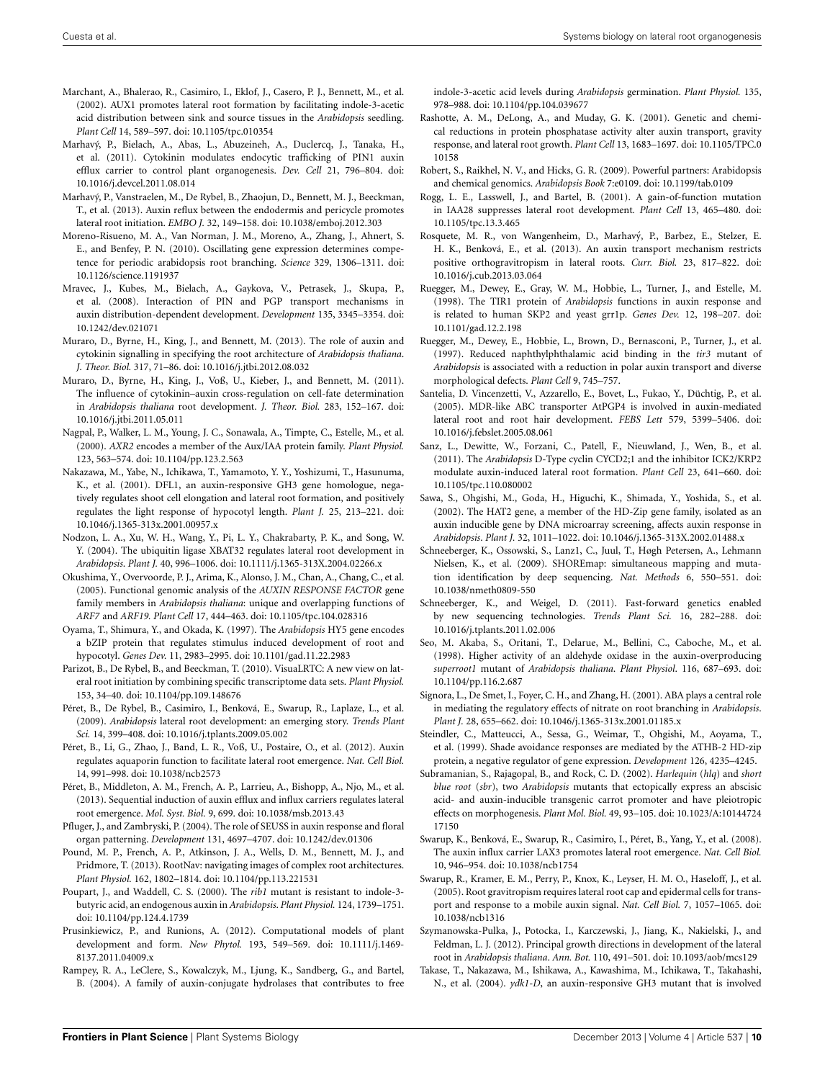- <span id="page-9-11"></span>Marchant, A., Bhalerao, R., Casimiro, I., Eklof, J., Casero, P. J., Bennett, M., et al. (2002). AUX1 promotes lateral root formation by facilitating indole-3-acetic acid distribution between sink and source tissues in the *Arabidopsis* seedling. *Plant Cell* 14, 589–597. doi: 10.1105/tpc.010354
- <span id="page-9-3"></span>Marhavý, P., Bielach, A., Abas, L., Abuzeineh, A., Duclercq, J., Tanaka, H., et al. (2011). Cytokinin modulates endocytic trafficking of PIN1 auxin efflux carrier to control plant organogenesis. *Dev. Cell* 21, 796–804. doi: 10.1016/j.devcel.2011.08.014
- <span id="page-9-2"></span>Marhavý, P., Vanstraelen, M., De Rybel, B., Zhaojun, D., Bennett, M. J., Beeckman, T., et al. (2013). Auxin reflux between the endodermis and pericycle promotes lateral root initiation. *EMBO J.* 32, 149–158. doi: 10.1038/emboj.2012.303
- <span id="page-9-1"></span>Moreno-Risueno, M. A., Van Norman, J. M., Moreno, A., Zhang, J., Ahnert, S. E., and Benfey, P. N. (2010). Oscillating gene expression determines competence for periodic arabidopsis root branching. *Science* 329, 1306–1311. doi: 10.1126/science.1191937
- <span id="page-9-28"></span>Mravec, J., Kubes, M., Bielach, A., Gaykova, V., Petrasek, J., Skupa, P., et al. (2008). Interaction of PIN and PGP transport mechanisms in auxin distribution-dependent development. *Development* 135, 3345–3354. doi: 10.1242/dev.021071
- <span id="page-9-35"></span>Muraro, D., Byrne, H., King, J., and Bennett, M. (2013). The role of auxin and cytokinin signalling in specifying the root architecture of *Arabidopsis thaliana*. *J. Theor. Biol.* 317, 71–86. doi: 10.1016/j.jtbi.2012.08.032
- <span id="page-9-34"></span>Muraro, D., Byrne, H., King, J., Voß, U., Kieber, J., and Bennett, M. (2011). The influence of cytokinin–auxin cross-regulation on cell-fate determination in *Arabidopsis thaliana* root development. *J. Theor. Biol.* 283, 152–167. doi: 10.1016/j.jtbi.2011.05.011
- <span id="page-9-12"></span>Nagpal, P., Walker, L. M., Young, J. C., Sonawala, A., Timpte, C., Estelle, M., et al. (2000). *AXR2* encodes a member of the Aux/IAA protein family. *Plant Physiol.* 123, 563–574. doi: 10.1104/pp.123.2.563
- <span id="page-9-13"></span>Nakazawa, M., Yabe, N., Ichikawa, T., Yamamoto, Y. Y., Yoshizumi, T., Hasunuma, K., et al. (2001). DFL1, an auxin-responsive GH3 gene homologue, negatively regulates shoot cell elongation and lateral root formation, and positively regulates the light response of hypocotyl length. *Plant J.* 25, 213–221. doi: 10.1046/j.1365-313x.2001.00957.x
- <span id="page-9-26"></span>Nodzon, L. A., Xu, W. H., Wang, Y., Pi, L. Y., Chakrabarty, P. K., and Song, W. Y. (2004). The ubiquitin ligase XBAT32 regulates lateral root development in *Arabidopsis*. *Plant J.* 40, 996–1006. doi: 10.1111/j.1365-313X.2004.02266.x
- <span id="page-9-9"></span>Okushima, Y., Overvoorde, P. J., Arima, K., Alonso, J. M., Chan, A., Chang, C., et al. (2005). Functional genomic analysis of the *AUXIN RESPONSE FACTOR* gene family members in *Arabidopsis thaliana*: unique and overlapping functions of *ARF7* and *ARF19. Plant Cell* 17, 444–463. doi: 10.1105/tpc.104.028316
- <span id="page-9-15"></span>Oyama, T., Shimura, Y., and Okada, K. (1997). The *Arabidopsis* HY5 gene encodes a bZIP protein that regulates stimulus induced development of root and hypocotyl. *Genes Dev.* 11, 2983–2995. doi: 10.1101/gad.11.22.2983
- <span id="page-9-29"></span>Parizot, B., De Rybel, B., and Beeckman, T. (2010). VisuaLRTC: A new view on lateral root initiation by combining specific transcriptome data sets. *Plant Physiol.* 153, 34–40. doi: 10.1104/pp.109.148676
- <span id="page-9-7"></span>Péret, B., De Rybel, B., Casimiro, I., Benková, E., Swarup, R., Laplaze, L., et al. (2009). *Arabidopsis* lateral root development: an emerging story. *Trends Plant Sci.* 14, 399–408. doi: 10.1016/j.tplants.2009.05.002
- <span id="page-9-5"></span>Péret, B., Li, G., Zhao, J., Band, L. R., Voß, U., Postaire, O., et al. (2012). Auxin regulates aquaporin function to facilitate lateral root emergence. *Nat. Cell Biol.* 14, 991–998. doi: 10.1038/ncb2573
- <span id="page-9-33"></span>Péret, B., Middleton, A. M., French, A. P., Larrieu, A., Bishopp, A., Njo, M., et al. (2013). Sequential induction of auxin efflux and influx carriers regulates lateral root emergence. *Mol. Syst. Biol.* 9, 699. doi: 10.1038/msb.2013.43
- <span id="page-9-22"></span>Pfluger, J., and Zambryski, P. (2004). The role of SEUSS in auxin response and floral organ patterning. *Development* 131, 4697–4707. doi: 10.1242/dev.01306
- <span id="page-9-37"></span>Pound, M. P., French, A. P., Atkinson, J. A., Wells, D. M., Bennett, M. J., and Pridmore, T. (2013). RootNav: navigating images of complex root architectures. *Plant Physiol.* 162, 1802–1814. doi: 10.1104/pp.113.221531
- <span id="page-9-20"></span>Poupart, J., and Waddell, C. S. (2000). The *rib1* mutant is resistant to indole-3 butyric acid, an endogenous auxin in *Arabidopsis*. *Plant Physiol.* 124, 1739–1751. doi: 10.1104/pp.124.4.1739
- <span id="page-9-31"></span>Prusinkiewicz, P., and Runions, A. (2012). Computational models of plant development and form. *New Phytol.* 193, 549–569. doi: 10.1111/j.1469- 8137.2011.04009.x
- <span id="page-9-17"></span>Rampey, R. A., LeClere, S., Kowalczyk, M., Ljung, K., Sandberg, G., and Bartel, B. (2004). A family of auxin-conjugate hydrolases that contributes to free

indole-3-acetic acid levels during *Arabidopsis* germination. *Plant Physiol.* 135, 978–988. doi: 10.1104/pp.104.039677

- <span id="page-9-19"></span>Rashotte, A. M., DeLong, A., and Muday, G. K. (2001). Genetic and chemical reductions in protein phosphatase activity alter auxin transport, gravity response, and lateral root growth. *Plant Cell* 13, 1683–1697. doi: 10.1105/TPC.0 10158
- <span id="page-9-30"></span>Robert, S., Raikhel, N. V., and Hicks, G. R. (2009). Powerful partners: Arabidopsis and chemical genomics. *Arabidopsis Book* 7:e0109. doi: 10.1199/tab.0109
- <span id="page-9-16"></span>Rogg, L. E., Lasswell, J., and Bartel, B. (2001). A gain-of-function mutation in IAA28 suppresses lateral root development*. Plant Cell* 13, 465–480. doi: 10.1105/tpc.13.3.465
- <span id="page-9-6"></span>Rosquete, M. R., von Wangenheim, D., Marhavý, P., Barbez, E., Stelzer, E. H. K., Benková, E., et al. (2013). An auxin transport mechanism restricts positive orthogravitropism in lateral roots. *Curr. Biol.* 23, 817–822. doi: 10.1016/j.cub.2013.03.064
- <span id="page-9-24"></span>Ruegger, M., Dewey, E., Gray, W. M., Hobbie, L., Turner, J., and Estelle, M. (1998). The TIR1 protein of *Arabidopsis* functions in auxin response and is related to human SKP2 and yeast grr1p. *Genes Dev.* 12, 198–207. doi: 10.1101/gad.12.2.198
- <span id="page-9-25"></span>Ruegger, M., Dewey, E., Hobbie, L., Brown, D., Bernasconi, P., Turner, J., et al. (1997). Reduced naphthylphthalamic acid binding in the *tir3* mutant of *Arabidopsis* is associated with a reduction in polar auxin transport and diverse morphological defects. *Plant Cell* 9, 745–757.
- <span id="page-9-18"></span>Santelia, D. Vincenzetti, V., Azzarello, E., Bovet, L., Fukao, Y., Düchtig, P., et al. (2005). MDR-like ABC transporter AtPGP4 is involved in auxin-mediated lateral root and root hair development. *FEBS Lett* 579, 5399–5406. doi: 10.1016/j.febslet.2005.08.061
- <span id="page-9-0"></span>Sanz, L., Dewitte, W., Forzani, C., Patell, F., Nieuwland, J., Wen, B., et al. (2011). The *Arabidopsis* D-Type cyclin CYCD2;1 and the inhibitor ICK2/KRP2 modulate auxin-induced lateral root formation. *Plant Cell* 23, 641–660. doi: 10.1105/tpc.110.080002
- <span id="page-9-14"></span>Sawa, S., Ohgishi, M., Goda, H., Higuchi, K., Shimada, Y., Yoshida, S., et al. (2002). The HAT2 gene, a member of the HD-Zip gene family, isolated as an auxin inducible gene by DNA microarray screening, affects auxin response in *Arabidopsis*. *Plant J.* 32, 1011–1022. doi: 10.1046/j.1365-313X.2002.01488.x
- <span id="page-9-39"></span>Schneeberger, K., Ossowski, S., Lanz1, C., Juul, T., Høgh Petersen, A., Lehmann Nielsen, K., et al. (2009). SHOREmap: simultaneous mapping and mutation identification by deep sequencing. *Nat. Methods* 6, 550–551. doi: 10.1038/nmeth0809-550
- <span id="page-9-38"></span>Schneeberger, K., and Weigel, D. (2011). Fast-forward genetics enabled by new sequencing technologies. *Trends Plant Sci.* 16, 282–288. doi: 10.1016/j.tplants.2011.02.006
- <span id="page-9-23"></span>Seo, M. Akaba, S., Oritani, T., Delarue, M., Bellini, C., Caboche, M., et al. (1998). Higher activity of an aldehyde oxidase in the auxin-overproducing *superroot1* mutant of *Arabidopsis thaliana*. *Plant Physiol*. 116, 687–693. doi: 10.1104/pp.116.2.687
- <span id="page-9-8"></span>Signora, L., De Smet, I., Foyer, C. H., and Zhang, H. (2001). ABA plays a central role in mediating the regulatory effects of nitrate on root branching in *Arabidopsis*. *Plant J.* 28, 655–662. doi: 10.1046/j.1365-313x.2001.01185.x
- <span id="page-9-10"></span>Steindler, C., Matteucci, A., Sessa, G., Weimar, T., Ohgishi, M., Aoyama, T., et al. (1999). Shade avoidance responses are mediated by the ATHB-2 HD-zip protein, a negative regulator of gene expression. *Development* 126, 4235–4245.
- <span id="page-9-21"></span>Subramanian, S., Rajagopal, B., and Rock, C. D. (2002). *Harlequin* (*hlq*) and *short blue root* (*sbr*), two *Arabidopsis* mutants that ectopically express an abscisic acid- and auxin-inducible transgenic carrot promoter and have pleiotropic effects on morphogenesis. *Plant Mol. Biol.* 49, 93–105. doi: 10.1023/A:10144724 17150
- <span id="page-9-4"></span>Swarup, K., Benková, E., Swarup, R., Casimiro, I., Péret, B., Yang, Y., et al. (2008). The auxin influx carrier LAX3 promotes lateral root emergence. *Nat. Cell Biol.* 10, 946–954. doi: 10.1038/ncb1754
- <span id="page-9-32"></span>Swarup, R., Kramer, E. M., Perry, P., Knox, K., Leyser, H. M. O., Haseloff, J., et al. (2005). Root gravitropism requires lateral root cap and epidermal cells for transport and response to a mobile auxin signal. *Nat. Cell Biol.* 7, 1057–1065. doi: 10.1038/ncb1316
- <span id="page-9-36"></span>Szymanowska-Pulka, J., Potocka, I., Karczewski, J., Jiang, K., Nakielski, J., and Feldman, L. J. (2012). Principal growth directions in development of the lateral root in *Arabidopsis thaliana*. *Ann. Bot.* 110, 491–501. doi: 10.1093/aob/mcs129
- <span id="page-9-27"></span>Takase, T., Nakazawa, M., Ishikawa, A., Kawashima, M., Ichikawa, T., Takahashi, N., et al. (2004). *ydk1-D*, an auxin-responsive GH3 mutant that is involved